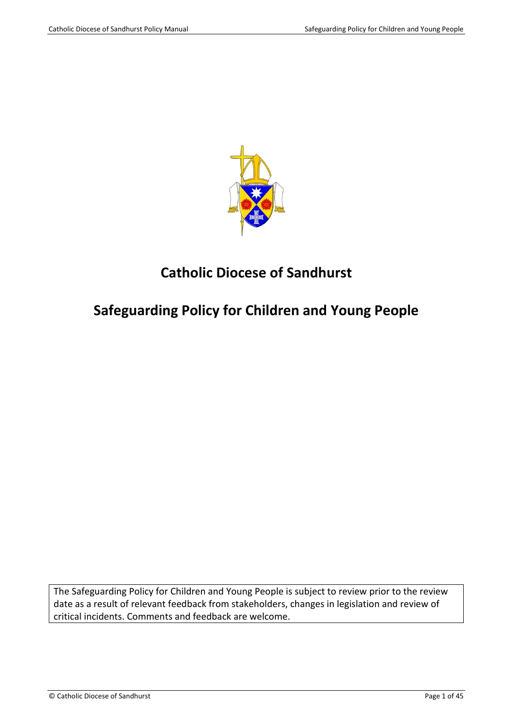

# **Catholic Diocese of Sandhurst**

# **Safeguarding Policy for Children and Young People**

The Safeguarding Policy for Children and Young People is subject to review prior to the review date as a result of relevant feedback from stakeholders, changes in legislation and review of critical incidents. Comments and feedback are welcome.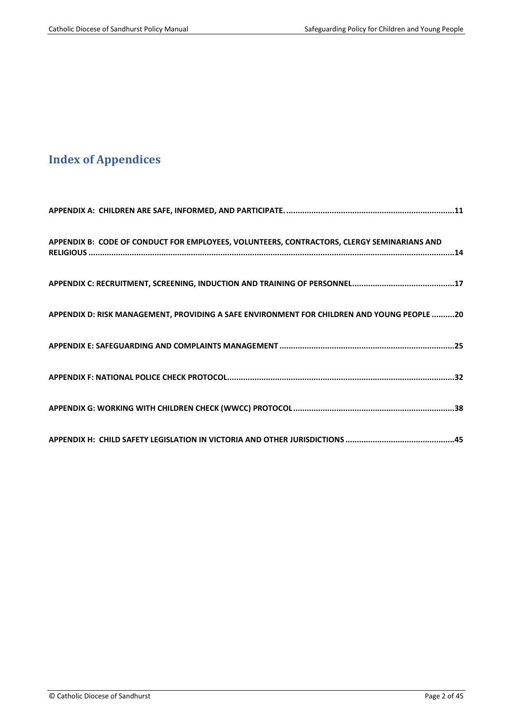# **Index of Appendices**

| APPENDIX B: CODE OF CONDUCT FOR EMPLOYEES, VOLUNTEERS, CONTRACTORS, CLERGY SEMINARIANS AND |
|--------------------------------------------------------------------------------------------|
|                                                                                            |
| APPENDIX D: RISK MANAGEMENT, PROVIDING A SAFE ENVIRONMENT FOR CHILDREN AND YOUNG PEOPLE 20 |
|                                                                                            |
|                                                                                            |
|                                                                                            |
|                                                                                            |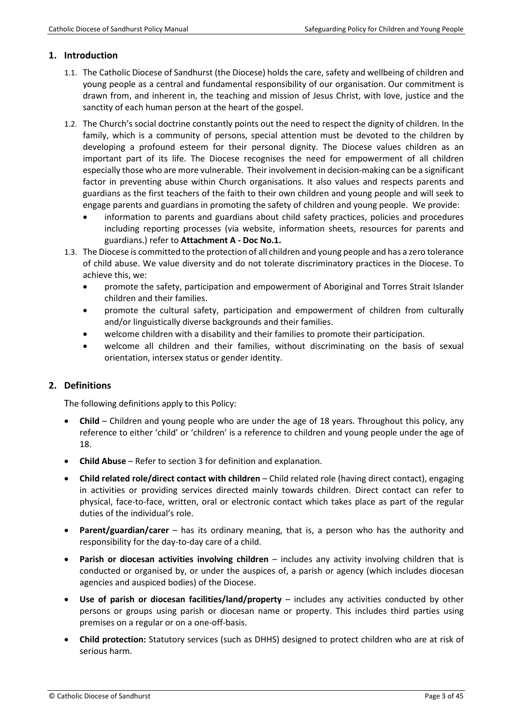#### **1. Introduction**

- 1.1. The Catholic Diocese of Sandhurst (the Diocese) holds the care, safety and wellbeing of children and young people as a central and fundamental responsibility of our organisation. Our commitment is drawn from, and inherent in, the teaching and mission of Jesus Christ, with love, justice and the sanctity of each human person at the heart of the gospel.
- 1.2. The Church's social doctrine constantly points out the need to respect the dignity of children. In the family, which is a community of persons, special attention must be devoted to the children by developing a profound esteem for their personal dignity. The Diocese values children as an important part of its life. The Diocese recognises the need for empowerment of all children especially those who are more vulnerable. Their involvement in decision-making can be a significant factor in preventing abuse within Church organisations. It also values and respects parents and guardians as the first teachers of the faith to their own children and young people and will seek to engage parents and guardians in promoting the safety of children and young people. We provide:
	- information to parents and guardians about child safety practices, policies and procedures including reporting processes (via website, information sheets, resources for parents and guardians.) refer to **Attachment A - Doc No.1.**
- 1.3. The Diocese is committed to the protection of all children and young people and has a zero tolerance of child abuse. We value diversity and do not tolerate discriminatory practices in the Diocese. To achieve this, we:
	- promote the safety, participation and empowerment of Aboriginal and Torres Strait Islander children and their families.
	- promote the cultural safety, participation and empowerment of children from culturally and/or linguistically diverse backgrounds and their families.
	- welcome children with a disability and their families to promote their participation.
	- welcome all children and their families, without discriminating on the basis of sexual orientation, intersex status or gender identity.

# **2. Definitions**

The following definitions apply to this Policy:

- **Child** Children and young people who are under the age of 18 years. Throughout this policy, any reference to either 'child' or 'children' is a reference to children and young people under the age of 18.
- **Child Abuse**  Refer to section 3 for definition and explanation.
- **Child related role/direct contact with children**  Child related role (having direct contact), engaging in activities or providing services directed mainly towards children. Direct contact can refer to physical, face-to-face, written, oral or electronic contact which takes place as part of the regular duties of the individual's role.
- **Parent/guardian/carer** has its ordinary meaning, that is, a person who has the authority and responsibility for the day-to-day care of a child.
- **Parish or diocesan activities involving children** includes any activity involving children that is conducted or organised by, or under the auspices of, a parish or agency (which includes diocesan agencies and auspiced bodies) of the Diocese.
- **Use of parish or diocesan facilities/land/property** includes any activities conducted by other persons or groups using parish or diocesan name or property. This includes third parties using premises on a regular or on a one-off-basis.
- **Child protection:** Statutory services (such as DHHS) designed to protect children who are at risk of serious harm.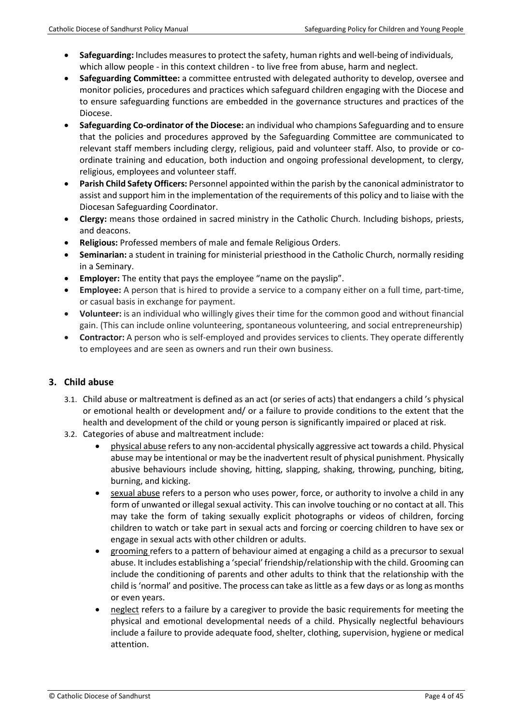- **Safeguarding:** Includes measures to protect the safety, human rights and well-being of individuals, which allow people - in this context children - to live free from abuse, harm and neglect.
- **Safeguarding Committee:** a committee entrusted with delegated authority to develop, oversee and monitor policies, procedures and practices which safeguard children engaging with the Diocese and to ensure safeguarding functions are embedded in the governance structures and practices of the Diocese.
- **Safeguarding Co-ordinator of the Diocese:** an individual who champions Safeguarding and to ensure that the policies and procedures approved by the Safeguarding Committee are communicated to relevant staff members including clergy, religious, paid and volunteer staff. Also, to provide or coordinate training and education, both induction and ongoing professional development, to clergy, religious, employees and volunteer staff.
- **Parish Child Safety Officers:** Personnel appointed within the parish by the canonical administrator to assist and support him in the implementation of the requirements of this policy and to liaise with the Diocesan Safeguarding Coordinator.
- **Clergy:** means those ordained in sacred ministry in the Catholic Church. Including bishops, priests, and deacons.
- **Religious:** Professed members of male and female Religious Orders.
- **Seminarian:** a student in training for ministerial priesthood in the Catholic Church, normally residing in a Seminary.
- **Employer:** The entity that pays the employee "name on the payslip".
- **Employee:** A person that is hired to provide a service to a company either on a full time, part-time, or casual basis in exchange for payment.
- **Volunteer:** is an individual who willingly gives their time for the common good and without financial gain. (This can include online volunteering, spontaneous volunteering, and social entrepreneurship)
- **Contractor:** A person who is self-employed and provides services to clients. They operate differently to employees and are seen as owners and run their own business.

# **3. Child abuse**

- 3.1. Child abuse or maltreatment is defined as an act (or series of acts) that endangers a child 's physical or emotional health or development and/ or a failure to provide conditions to the extent that the health and development of the child or young person is significantly impaired or placed at risk.
- 3.2. Categories of abuse and maltreatment include:
	- physical abuse refers to any non-accidental physically aggressive act towards a child. Physical abuse may be intentional or may be the inadvertent result of physical punishment. Physically abusive behaviours include shoving, hitting, slapping, shaking, throwing, punching, biting, burning, and kicking.
	- sexual abuse refers to a person who uses power, force, or authority to involve a child in any form of unwanted or illegal sexual activity. This can involve touching or no contact at all. This may take the form of taking sexually explicit photographs or videos of children, forcing children to watch or take part in sexual acts and forcing or coercing children to have sex or engage in sexual acts with other children or adults.
	- grooming refers to a pattern of behaviour aimed at engaging a child as a precursor to sexual abuse. It includes establishing a 'special' friendship/relationship with the child. Grooming can include the conditioning of parents and other adults to think that the relationship with the child is 'normal' and positive. The process can take as little as a few days or as long as months or even years.
	- neglect refers to a failure by a caregiver to provide the basic requirements for meeting the physical and emotional developmental needs of a child. Physically neglectful behaviours include a failure to provide adequate food, shelter, clothing, supervision, hygiene or medical attention.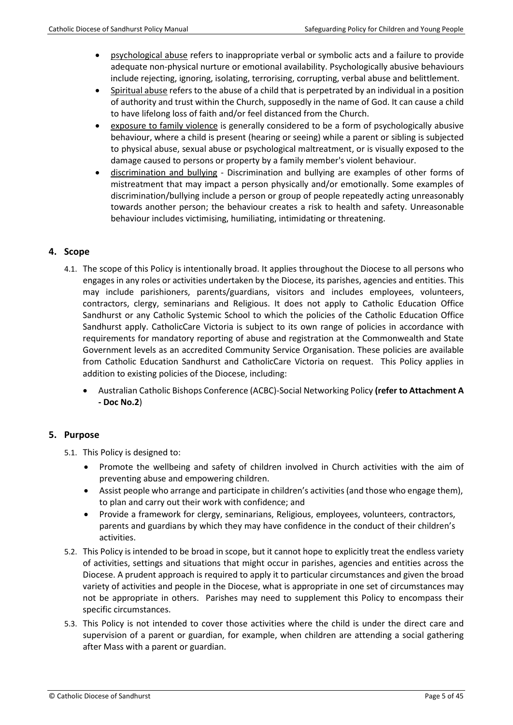- psychological abuse refers to inappropriate verbal or symbolic acts and a failure to provide adequate non-physical nurture or emotional availability. Psychologically abusive behaviours include rejecting, ignoring, isolating, terrorising, corrupting, verbal abuse and belittlement.
- Spiritual abuse refers to the abuse of a child that is perpetrated by an individual in a position of authority and trust within the Church, supposedly in the name of God. It can cause a child to have lifelong loss of faith and/or feel distanced from the Church.
- exposure to family violence is generally considered to be a form of psychologically abusive behaviour, where a child is present (hearing or seeing) while a parent or sibling is subjected to physical abuse, sexual abuse or psychological maltreatment, or is visually exposed to the damage caused to persons or property by a family member's violent behaviour.
- discrimination and bullying Discrimination and bullying are examples of other forms of mistreatment that may impact a person physically and/or emotionally. Some examples of discrimination/bullying include a person or group of people repeatedly acting unreasonably towards another person; the behaviour creates a risk to health and safety. Unreasonable behaviour includes victimising, humiliating, intimidating or threatening.

# **4. Scope**

- 4.1. The scope of this Policy is intentionally broad. It applies throughout the Diocese to all persons who engages in any roles or activities undertaken by the Diocese, its parishes, agencies and entities. This may include parishioners, parents/guardians, visitors and includes employees, volunteers, contractors, clergy, seminarians and Religious. It does not apply to Catholic Education Office Sandhurst or any Catholic Systemic School to which the policies of the Catholic Education Office Sandhurst apply. CatholicCare Victoria is subject to its own range of policies in accordance with requirements for mandatory reporting of abuse and registration at the Commonwealth and State Government levels as an accredited Community Service Organisation. These policies are available from Catholic Education Sandhurst and CatholicCare Victoria on request. This Policy applies in addition to existing policies of the Diocese, including:
	- Australian Catholic Bishops Conference (ACBC)-Social Networking Policy **(refer to Attachment A - Doc No.2**)

#### **5. Purpose**

5.1. This Policy is designed to:

- Promote the wellbeing and safety of children involved in Church activities with the aim of preventing abuse and empowering children.
- Assist people who arrange and participate in children's activities (and those who engage them), to plan and carry out their work with confidence; and
- Provide a framework for clergy, seminarians, Religious, employees, volunteers, contractors, parents and guardians by which they may have confidence in the conduct of their children's activities.
- 5.2. This Policy is intended to be broad in scope, but it cannot hope to explicitly treat the endless variety of activities, settings and situations that might occur in parishes, agencies and entities across the Diocese. A prudent approach is required to apply it to particular circumstances and given the broad variety of activities and people in the Diocese, what is appropriate in one set of circumstances may not be appropriate in others. Parishes may need to supplement this Policy to encompass their specific circumstances.
- 5.3. This Policy is not intended to cover those activities where the child is under the direct care and supervision of a parent or guardian, for example, when children are attending a social gathering after Mass with a parent or guardian.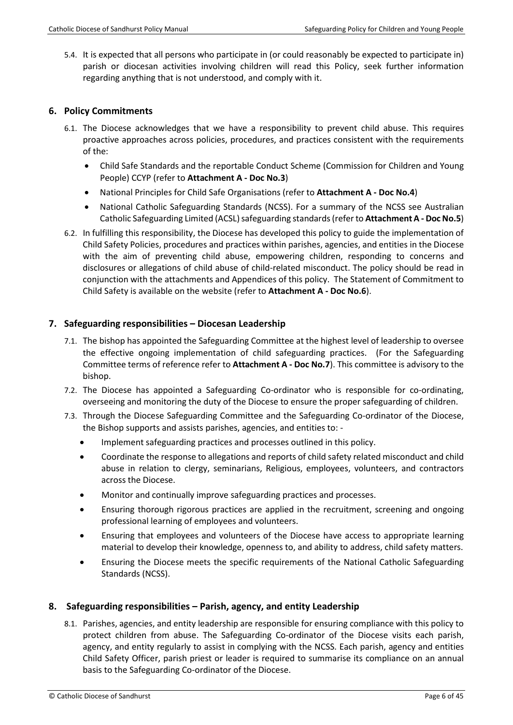5.4. It is expected that all persons who participate in (or could reasonably be expected to participate in) parish or diocesan activities involving children will read this Policy, seek further information regarding anything that is not understood, and comply with it.

# **6. Policy Commitments**

- 6.1. The Diocese acknowledges that we have a responsibility to prevent child abuse. This requires proactive approaches across policies, procedures, and practices consistent with the requirements of the:
	- Child Safe Standards and the reportable Conduct Scheme (Commission for Children and Young People) CCYP (refer to **Attachment A - Doc No.3**)
	- National Principles for Child Safe Organisations (refer to **Attachment A - Doc No.4**)
	- National Catholic Safeguarding Standards (NCSS). For a summary of the NCSS see Australian Catholic Safeguarding Limited (ACSL) safeguarding standards (refer to **Attachment A - Doc No.5**)
- 6.2. In fulfilling this responsibility, the Diocese has developed this policy to guide the implementation of Child Safety Policies, procedures and practices within parishes, agencies, and entities in the Diocese with the aim of preventing child abuse, empowering children, responding to concerns and disclosures or allegations of child abuse of child-related misconduct. The policy should be read in conjunction with the attachments and Appendices of this policy. The Statement of Commitment to Child Safety is available on the website (refer to **Attachment A - Doc No.6**).

# **7. Safeguarding responsibilities – Diocesan Leadership**

- 7.1. The bishop has appointed the Safeguarding Committee at the highest level of leadership to oversee the effective ongoing implementation of child safeguarding practices. (For the Safeguarding Committee terms of reference refer to **Attachment A - Doc No.7**). This committee is advisory to the bishop.
- 7.2. The Diocese has appointed a Safeguarding Co-ordinator who is responsible for co-ordinating, overseeing and monitoring the duty of the Diocese to ensure the proper safeguarding of children.
- 7.3. Through the Diocese Safeguarding Committee and the Safeguarding Co-ordinator of the Diocese, the Bishop supports and assists parishes, agencies, and entities to: -
	- Implement safeguarding practices and processes outlined in this policy.
	- Coordinate the response to allegations and reports of child safety related misconduct and child abuse in relation to clergy, seminarians, Religious, employees, volunteers, and contractors across the Diocese.
	- Monitor and continually improve safeguarding practices and processes.
	- Ensuring thorough rigorous practices are applied in the recruitment, screening and ongoing professional learning of employees and volunteers.
	- Ensuring that employees and volunteers of the Diocese have access to appropriate learning material to develop their knowledge, openness to, and ability to address, child safety matters.
	- Ensuring the Diocese meets the specific requirements of the National Catholic Safeguarding Standards (NCSS).

# **8. Safeguarding responsibilities – Parish, agency, and entity Leadership**

8.1. Parishes, agencies, and entity leadership are responsible for ensuring compliance with this policy to protect children from abuse. The Safeguarding Co-ordinator of the Diocese visits each parish, agency, and entity regularly to assist in complying with the NCSS. Each parish, agency and entities Child Safety Officer, parish priest or leader is required to summarise its compliance on an annual basis to the Safeguarding Co-ordinator of the Diocese.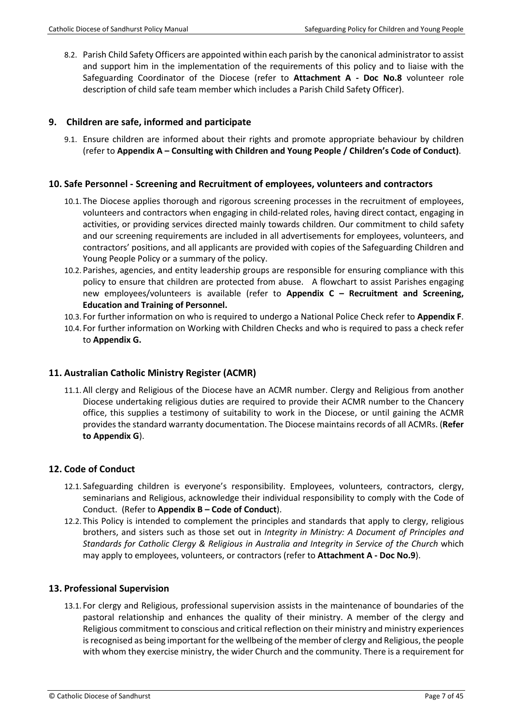8.2. Parish Child Safety Officers are appointed within each parish by the canonical administrator to assist and support him in the implementation of the requirements of this policy and to liaise with the Safeguarding Coordinator of the Diocese (refer to **Attachment A - Doc No.8** volunteer role description of child safe team member which includes a Parish Child Safety Officer).

# **9. Children are safe, informed and participate**

9.1. Ensure children are informed about their rights and promote appropriate behaviour by children (refer to **Appendix A – Consulting with Children and Young People / Children's Code of Conduct)**.

# **10. Safe Personnel - Screening and Recruitment of employees, volunteers and contractors**

- 10.1. The Diocese applies thorough and rigorous screening processes in the recruitment of employees, volunteers and contractors when engaging in child-related roles, having direct contact, engaging in activities, or providing services directed mainly towards children. Our commitment to child safety and our screening requirements are included in all advertisements for employees, volunteers, and contractors' positions, and all applicants are provided with copies of the Safeguarding Children and Young People Policy or a summary of the policy.
- 10.2. Parishes, agencies, and entity leadership groups are responsible for ensuring compliance with this policy to ensure that children are protected from abuse. A flowchart to assist Parishes engaging new employees/volunteers is available (refer to **Appendix C – Recruitment and Screening, Education and Training of Personnel.**
- 10.3. For further information on who is required to undergo a National Police Check refer to **Appendix F**.
- 10.4. For further information on Working with Children Checks and who is required to pass a check refer to **Appendix G.**

# **11. Australian Catholic Ministry Register (ACMR)**

11.1.All clergy and Religious of the Diocese have an ACMR number. Clergy and Religious from another Diocese undertaking religious duties are required to provide their ACMR number to the Chancery office, this supplies a testimony of suitability to work in the Diocese, or until gaining the ACMR providesthe standard warranty documentation. The Diocese maintains records of all ACMRs. (**Refer to Appendix G**).

# **12. Code of Conduct**

- 12.1. Safeguarding children is everyone's responsibility. Employees, volunteers, contractors, clergy, seminarians and Religious, acknowledge their individual responsibility to comply with the Code of Conduct. (Refer to **Appendix B – Code of Conduct**).
- 12.2. This Policy is intended to complement the principles and standards that apply to clergy, religious brothers, and sisters such as those set out in *Integrity in Ministry: A Document of Principles and Standards for Catholic Clergy & Religious in Australia and Integrity in Service of the Church* which may apply to employees, volunteers, or contractors (refer to **Attachment A - Doc No.9**).

# **13. Professional Supervision**

13.1. For clergy and Religious, professional supervision assists in the maintenance of boundaries of the pastoral relationship and enhances the quality of their ministry. A member of the clergy and Religious commitment to conscious and critical reflection on their ministry and ministry experiences is recognised as being important for the wellbeing of the member of clergy and Religious, the people with whom they exercise ministry, the wider Church and the community. There is a requirement for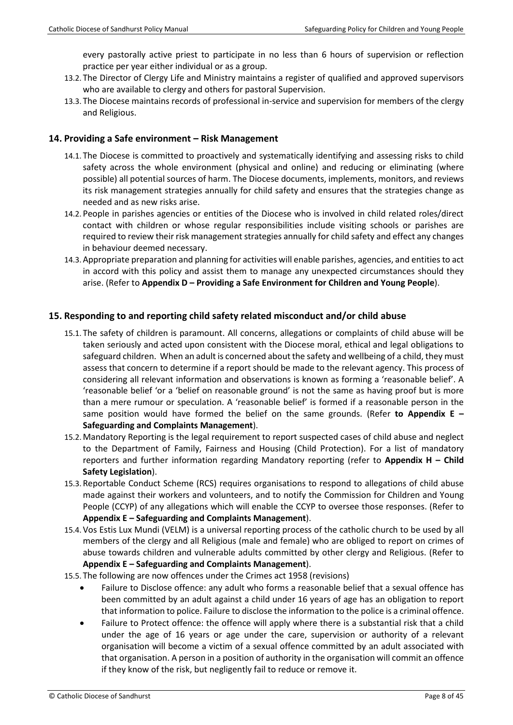every pastorally active priest to participate in no less than 6 hours of supervision or reflection practice per year either individual or as a group.

- 13.2. The Director of Clergy Life and Ministry maintains a register of qualified and approved supervisors who are available to clergy and others for pastoral Supervision.
- 13.3. The Diocese maintains records of professional in-service and supervision for members of the clergy and Religious.

#### **14. Providing a Safe environment – Risk Management**

- 14.1. The Diocese is committed to proactively and systematically identifying and assessing risks to child safety across the whole environment (physical and online) and reducing or eliminating (where possible) all potential sources of harm. The Diocese documents, implements, monitors, and reviews its risk management strategies annually for child safety and ensures that the strategies change as needed and as new risks arise.
- 14.2. People in parishes agencies or entities of the Diocese who is involved in child related roles/direct contact with children or whose regular responsibilities include visiting schools or parishes are required to review their risk management strategies annually for child safety and effect any changes in behaviour deemed necessary.
- 14.3.Appropriate preparation and planning for activities will enable parishes, agencies, and entities to act in accord with this policy and assist them to manage any unexpected circumstances should they arise. (Refer to **Appendix D – Providing a Safe Environment for Children and Young People**).

#### **15. Responding to and reporting child safety related misconduct and/or child abuse**

- 15.1. The safety of children is paramount. All concerns, allegations or complaints of child abuse will be taken seriously and acted upon consistent with the Diocese moral, ethical and legal obligations to safeguard children. When an adult is concerned about the safety and wellbeing of a child, they must assess that concern to determine if a report should be made to the relevant agency. This process of considering all relevant information and observations is known as forming a 'reasonable belief'. A 'reasonable belief 'or a 'belief on reasonable ground' is not the same as having proof but is more than a mere rumour or speculation. A 'reasonable belief' is formed if a reasonable person in the same position would have formed the belief on the same grounds. (Refer **to Appendix E – Safeguarding and Complaints Management**).
- 15.2.Mandatory Reporting is the legal requirement to report suspected cases of child abuse and neglect to the Department of Family, Fairness and Housing (Child Protection). For a list of mandatory reporters and further information regarding Mandatory reporting (refer to **Appendix H – Child Safety Legislation**).
- 15.3.Reportable Conduct Scheme (RCS) requires organisations to respond to allegations of child abuse made against their workers and volunteers, and to notify the Commission for Children and Young People (CCYP) of any allegations which will enable the CCYP to oversee those responses. (Refer to **Appendix E – Safeguarding and Complaints Management**).
- 15.4.Vos Estis Lux Mundi (VELM) is a universal reporting process of the catholic church to be used by all members of the clergy and all Religious (male and female) who are obliged to report on crimes of abuse towards children and vulnerable adults committed by other clergy and Religious. (Refer to **Appendix E – Safeguarding and Complaints Management**).
- 15.5. The following are now offences under the Crimes act 1958 (revisions)
	- Failure to Disclose offence: any adult who forms a reasonable belief that a sexual offence has been committed by an adult against a child under 16 years of age has an obligation to report that information to police. Failure to disclose the information to the police is a criminal offence.
	- Failure to Protect offence: the offence will apply where there is a substantial risk that a child under the age of 16 years or age under the care, supervision or authority of a relevant organisation will become a victim of a sexual offence committed by an adult associated with that organisation. A person in a position of authority in the organisation will commit an offence if they know of the risk, but negligently fail to reduce or remove it.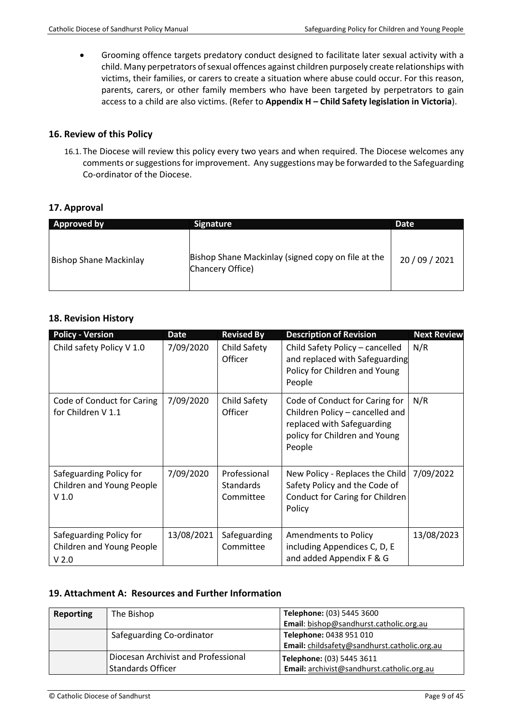• Grooming offence targets predatory conduct designed to facilitate later sexual activity with a child. Many perpetrators of sexual offences against children purposely create relationships with victims, their families, or carers to create a situation where abuse could occur. For this reason, parents, carers, or other family members who have been targeted by perpetrators to gain access to a child are also victims. (Refer to **Appendix H – Child Safety legislation in Victoria**).

# **16. Review of this Policy**

16.1. The Diocese will review this policy every two years and when required. The Diocese welcomes any comments or suggestions for improvement. Any suggestions may be forwarded to the Safeguarding Co-ordinator of the Diocese.

# **17. Approval**

| Approved by                   | <b>Signature</b>                                                       | Date           |
|-------------------------------|------------------------------------------------------------------------|----------------|
| <b>Bishop Shane Mackinlay</b> | Bishop Shane Mackinlay (signed copy on file at the<br>Chancery Office) | 20 / 09 / 2021 |

# **18. Revision History**

| <b>Policy - Version</b>                                                  | <b>Date</b> | <b>Revised By</b>                             | <b>Description of Revision</b>                                                                                                             | <b>Next Review</b> |
|--------------------------------------------------------------------------|-------------|-----------------------------------------------|--------------------------------------------------------------------------------------------------------------------------------------------|--------------------|
| Child safety Policy V 1.0                                                | 7/09/2020   | Child Safety<br><b>Officer</b>                | Child Safety Policy - cancelled<br>and replaced with Safeguarding<br>Policy for Children and Young<br>People                               | N/R                |
| Code of Conduct for Caring<br>for Children V 1.1                         | 7/09/2020   | Child Safety<br>Officer                       | Code of Conduct for Caring for<br>Children Policy - cancelled and<br>replaced with Safeguarding<br>policy for Children and Young<br>People | N/R                |
| Safeguarding Policy for<br>Children and Young People<br>V <sub>1.0</sub> | 7/09/2020   | Professional<br><b>Standards</b><br>Committee | New Policy - Replaces the Child<br>Safety Policy and the Code of<br>Conduct for Caring for Children<br>Policy                              | 7/09/2022          |
| Safeguarding Policy for<br>Children and Young People<br>V <sub>2.0</sub> | 13/08/2021  | Safeguarding<br>Committee                     | Amendments to Policy<br>including Appendices C, D, E<br>and added Appendix F & G                                                           | 13/08/2023         |

# **19. Attachment A: Resources and Further Information**

| Reporting | The Bishop                                                      | Telephone: (03) 5445 3600                    |  |
|-----------|-----------------------------------------------------------------|----------------------------------------------|--|
|           |                                                                 | Email: bishop@sandhurst.catholic.org.au      |  |
|           | Safeguarding Co-ordinator                                       | Telephone: 0438 951 010                      |  |
|           |                                                                 | Email: childsafety@sandhurst.catholic.org.au |  |
|           | Diocesan Archivist and Professional<br><b>Standards Officer</b> | Telephone: (03) 5445 3611                    |  |
|           |                                                                 | Email: archivist@sandhurst.catholic.org.au   |  |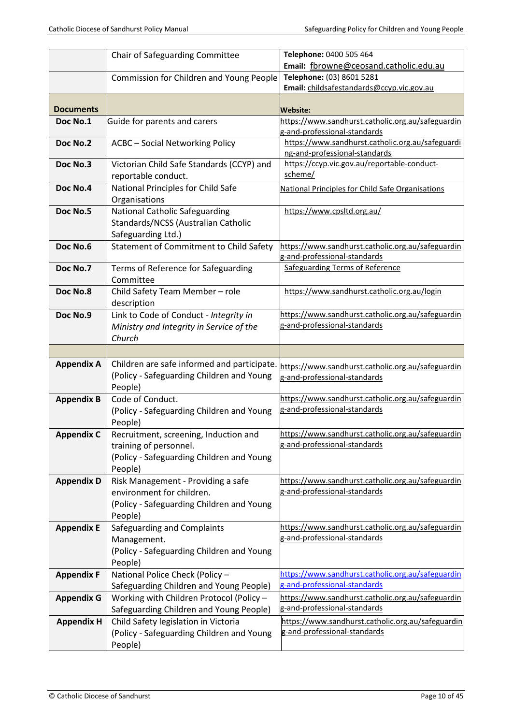|                   | Chair of Safeguarding Committee                | Telephone: 0400 505 464                                                           |  |
|-------------------|------------------------------------------------|-----------------------------------------------------------------------------------|--|
|                   |                                                | Email: fbrowne@ceosand.catholic.edu.au                                            |  |
|                   | Commission for Children and Young People       | Telephone: (03) 8601 5281                                                         |  |
|                   |                                                | Email: childsafestandards@ccyp.vic.gov.au                                         |  |
|                   |                                                |                                                                                   |  |
| <b>Documents</b>  |                                                | <b>Website:</b>                                                                   |  |
| Doc No.1          | Guide for parents and carers                   | https://www.sandhurst.catholic.org.au/safeguardin                                 |  |
|                   |                                                | g-and-professional-standards                                                      |  |
| Doc No.2          | <b>ACBC</b> - Social Networking Policy         | https://www.sandhurst.catholic.org.au/safeguardi<br>ng-and-professional-standards |  |
|                   |                                                | https://ccyp.vic.gov.au/reportable-conduct-                                       |  |
| Doc No.3          | Victorian Child Safe Standards (CCYP) and      | scheme/                                                                           |  |
|                   | reportable conduct.                            |                                                                                   |  |
| Doc No.4          | National Principles for Child Safe             | National Principles for Child Safe Organisations                                  |  |
|                   | Organisations                                  |                                                                                   |  |
| Doc No.5          | <b>National Catholic Safeguarding</b>          | https://www.cpsltd.org.au/                                                        |  |
|                   | Standards/NCSS (Australian Catholic            |                                                                                   |  |
|                   | Safeguarding Ltd.)                             |                                                                                   |  |
| Doc No.6          | <b>Statement of Commitment to Child Safety</b> | https://www.sandhurst.catholic.org.au/safeguardin                                 |  |
|                   |                                                | g-and-professional-standards                                                      |  |
| Doc No.7          | Terms of Reference for Safeguarding            | <b>Safeguarding Terms of Reference</b>                                            |  |
|                   | Committee                                      |                                                                                   |  |
| Doc No.8          | Child Safety Team Member - role                | https://www.sandhurst.catholic.org.au/login                                       |  |
|                   | description                                    |                                                                                   |  |
| Doc No.9          | Link to Code of Conduct - Integrity in         | https://www.sandhurst.catholic.org.au/safeguardin                                 |  |
|                   | Ministry and Integrity in Service of the       | g-and-professional-standards                                                      |  |
|                   | Church                                         |                                                                                   |  |
|                   |                                                |                                                                                   |  |
| <b>Appendix A</b> | Children are safe informed and participate.    | https://www.sandhurst.catholic.org.au/safeguardin                                 |  |
|                   | (Policy - Safeguarding Children and Young      | g-and-professional-standards                                                      |  |
|                   | People)                                        |                                                                                   |  |
| <b>Appendix B</b> | Code of Conduct.                               | https://www.sandhurst.catholic.org.au/safeguardin                                 |  |
|                   | (Policy - Safeguarding Children and Young      | g-and-professional-standards                                                      |  |
|                   | People)                                        |                                                                                   |  |
| <b>Appendix C</b> | Recruitment, screening, Induction and          | https://www.sandhurst.catholic.org.au/safeguardin                                 |  |
|                   | training of personnel.                         | g-and-professional-standards                                                      |  |
|                   | (Policy - Safeguarding Children and Young      |                                                                                   |  |
|                   | People)                                        |                                                                                   |  |
| <b>Appendix D</b> | Risk Management - Providing a safe             | https://www.sandhurst.catholic.org.au/safeguardin                                 |  |
|                   | environment for children.                      | g-and-professional-standards                                                      |  |
|                   | (Policy - Safeguarding Children and Young      |                                                                                   |  |
|                   | People)                                        |                                                                                   |  |
| <b>Appendix E</b> | Safeguarding and Complaints                    | https://www.sandhurst.catholic.org.au/safeguardin                                 |  |
|                   | Management.                                    | g-and-professional-standards                                                      |  |
|                   | (Policy - Safeguarding Children and Young      |                                                                                   |  |
|                   | People)                                        |                                                                                   |  |
| <b>Appendix F</b> | National Police Check (Policy -                | https://www.sandhurst.catholic.org.au/safeguardin                                 |  |
|                   | Safeguarding Children and Young People)        | g-and-professional-standards                                                      |  |
| <b>Appendix G</b> | Working with Children Protocol (Policy -       | https://www.sandhurst.catholic.org.au/safeguardin                                 |  |
|                   | Safeguarding Children and Young People)        | g-and-professional-standards                                                      |  |
| <b>Appendix H</b> | Child Safety legislation in Victoria           | https://www.sandhurst.catholic.org.au/safeguardin                                 |  |
|                   | (Policy - Safeguarding Children and Young      | g-and-professional-standards                                                      |  |
|                   |                                                |                                                                                   |  |
|                   | People)                                        |                                                                                   |  |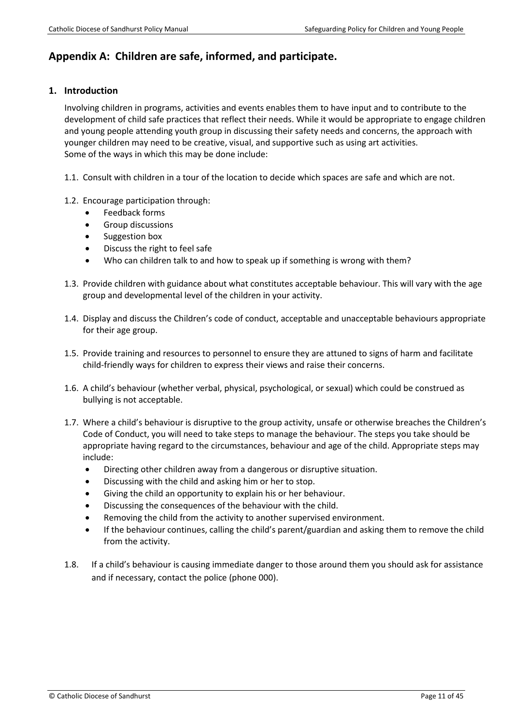# <span id="page-10-0"></span>**Appendix A: Children are safe, informed, and participate.**

# **1. Introduction**

Involving children in programs, activities and events enables them to have input and to contribute to the development of child safe practices that reflect their needs. While it would be appropriate to engage children and young people attending youth group in discussing their safety needs and concerns, the approach with younger children may need to be creative, visual, and supportive such as using art activities. Some of the ways in which this may be done include:

- 1.1. Consult with children in a tour of the location to decide which spaces are safe and which are not.
- 1.2. Encourage participation through:
	- Feedback forms
	- Group discussions
	- Suggestion box
	- Discuss the right to feel safe
	- Who can children talk to and how to speak up if something is wrong with them?
- 1.3. Provide children with guidance about what constitutes acceptable behaviour. This will vary with the age group and developmental level of the children in your activity.
- 1.4. Display and discuss the Children's code of conduct, acceptable and unacceptable behaviours appropriate for their age group.
- 1.5. Provide training and resources to personnel to ensure they are attuned to signs of harm and facilitate child-friendly ways for children to express their views and raise their concerns.
- 1.6. A child's behaviour (whether verbal, physical, psychological, or sexual) which could be construed as bullying is not acceptable.
- 1.7. Where a child's behaviour is disruptive to the group activity, unsafe or otherwise breaches the Children's Code of Conduct, you will need to take steps to manage the behaviour. The steps you take should be appropriate having regard to the circumstances, behaviour and age of the child. Appropriate steps may include:
	- Directing other children away from a dangerous or disruptive situation.
	- Discussing with the child and asking him or her to stop.
	- Giving the child an opportunity to explain his or her behaviour.
	- Discussing the consequences of the behaviour with the child.
	- Removing the child from the activity to another supervised environment.
	- If the behaviour continues, calling the child's parent/guardian and asking them to remove the child from the activity.
- 1.8. If a child's behaviour is causing immediate danger to those around them you should ask for assistance and if necessary, contact the police (phone 000).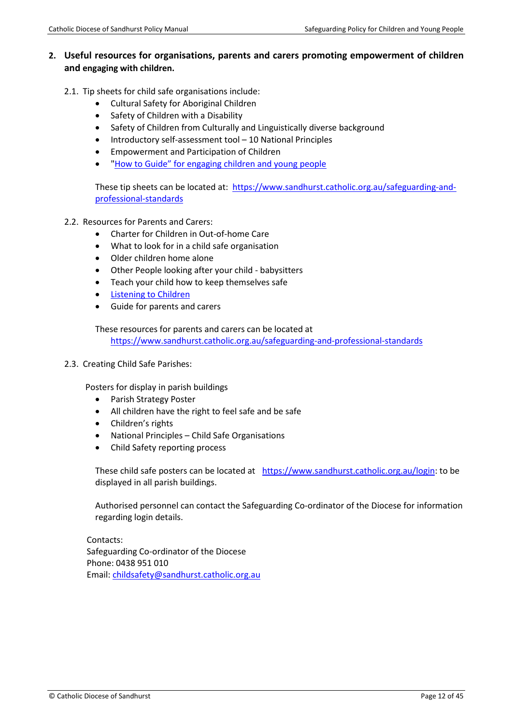# **2. Useful resources for organisations, parents and carers promoting empowerment of children and engaging with children.**

- 2.1. Tip sheets for child safe organisations include:
	- Cultural Safety for Aboriginal Children
	- Safety of Children with a Disability
	- Safety of Children from Culturally and Linguistically diverse background
	- Introductory self-assessment tool 10 National Principles
	- Empowerment and Participation of Children
	- "[How to Guide" for engaging children and young people](https://www.cpsltd.org.au/news-and-media/cpsl-publishes-how-to-guide-for-engaging-children-young-people-in-conversations-about-safeguarding/)

These tip sheets can be located at: [https://www.sandhurst.catholic.org.au/safeguarding-and](https://www.sandhurst.catholic.org.au/safeguarding-and-professional-standards)[professional-standards](https://www.sandhurst.catholic.org.au/safeguarding-and-professional-standards)

- 2.2. Resources for Parents and Carers:
	- Charter for Children in Out-of-home Care
	- What to look for in a child safe organisation
	- Older children home alone
	- Other People looking after your child babysitters
	- Teach your child how to keep themselves safe
	- [Listening to Children](https://www.sandhurst.catholic.org.au/index.php?option=com_docman&view=document&alias=1218-listening-to-children&category_slug=secretaries-day&Itemid=845)
	- Guide for parents and carers

These resources for parents and carers can be located at <https://www.sandhurst.catholic.org.au/safeguarding-and-professional-standards>

2.3. Creating Child Safe Parishes:

Posters for display in parish buildings

- Parish Strategy Poster
- All children have the right to feel safe and be safe
- Children's rights
- National Principles Child Safe Organisations
- Child Safety reporting process

These child safe posters can be located at [https://www.sandhurst.catholic.org.au/login:](https://www.sandhurst.catholic.org.au/login) to be displayed in all parish buildings.

Authorised personnel can contact the Safeguarding Co-ordinator of the Diocese for information regarding login details.

Contacts: Safeguarding Co-ordinator of the Diocese Phone: 0438 951 010 Email[: childsafety@sandhurst.catholic.org.au](mailto:childsafety@sandhurst.catholic.org.au)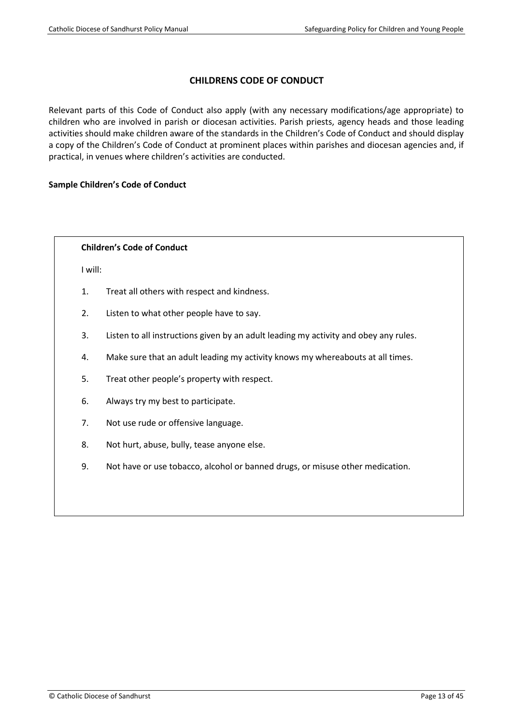# **CHILDRENS CODE OF CONDUCT**

Relevant parts of this Code of Conduct also apply (with any necessary modifications/age appropriate) to children who are involved in parish or diocesan activities. Parish priests, agency heads and those leading activities should make children aware of the standards in the Children's Code of Conduct and should display a copy of the Children's Code of Conduct at prominent places within parishes and diocesan agencies and, if practical, in venues where children's activities are conducted.

#### **Sample Children's Code of Conduct**

#### **Children's Code of Conduct**

I will:

- 1. Treat all others with respect and kindness.
- 2. Listen to what other people have to say.
- 3. Listen to all instructions given by an adult leading my activity and obey any rules.
- 4. Make sure that an adult leading my activity knows my whereabouts at all times.
- 5. Treat other people's property with respect.
- 6. Always try my best to participate.
- 7. Not use rude or offensive language.
- 8. Not hurt, abuse, bully, tease anyone else.
- 9. Not have or use tobacco, alcohol or banned drugs, or misuse other medication.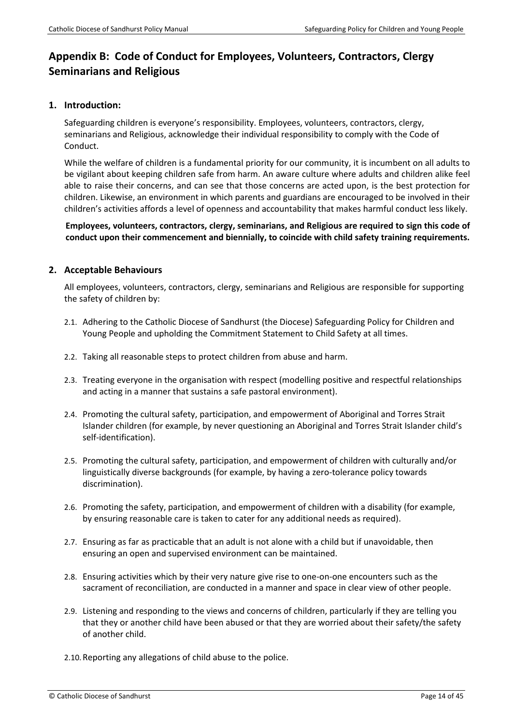# <span id="page-13-0"></span>**Appendix B: Code of Conduct for Employees, Volunteers, Contractors, Clergy Seminarians and Religious**

# **1. Introduction:**

Safeguarding children is everyone's responsibility. Employees, volunteers, contractors, clergy, seminarians and Religious, acknowledge their individual responsibility to comply with the Code of Conduct.

While the welfare of children is a fundamental priority for our community, it is incumbent on all adults to be vigilant about keeping children safe from harm. An aware culture where adults and children alike feel able to raise their concerns, and can see that those concerns are acted upon, is the best protection for children. Likewise, an environment in which parents and guardians are encouraged to be involved in their children's activities affords a level of openness and accountability that makes harmful conduct less likely.

**Employees, volunteers, contractors, clergy, seminarians, and Religious are required to sign this code of conduct upon their commencement and biennially, to coincide with child safety training requirements.**

# **2. Acceptable Behaviours**

All employees, volunteers, contractors, clergy, seminarians and Religious are responsible for supporting the safety of children by:

- 2.1. Adhering to the Catholic Diocese of Sandhurst (the Diocese) Safeguarding Policy for Children and Young People and upholding the Commitment Statement to Child Safety at all times.
- 2.2. Taking all reasonable steps to protect children from abuse and harm.
- 2.3. Treating everyone in the organisation with respect (modelling positive and respectful relationships and acting in a manner that sustains a safe pastoral environment).
- 2.4. Promoting the cultural safety, participation, and empowerment of Aboriginal and Torres Strait Islander children (for example, by never questioning an Aboriginal and Torres Strait Islander child's self-identification).
- 2.5. Promoting the cultural safety, participation, and empowerment of children with culturally and/or linguistically diverse backgrounds (for example, by having a zero-tolerance policy towards discrimination).
- 2.6. Promoting the safety, participation, and empowerment of children with a disability (for example, by ensuring reasonable care is taken to cater for any additional needs as required).
- 2.7. Ensuring as far as practicable that an adult is not alone with a child but if unavoidable, then ensuring an open and supervised environment can be maintained.
- 2.8. Ensuring activities which by their very nature give rise to one-on-one encounters such as the sacrament of reconciliation, are conducted in a manner and space in clear view of other people.
- 2.9. Listening and responding to the views and concerns of children, particularly if they are telling you that they or another child have been abused or that they are worried about their safety/the safety of another child.
- 2.10.Reporting any allegations of child abuse to the police.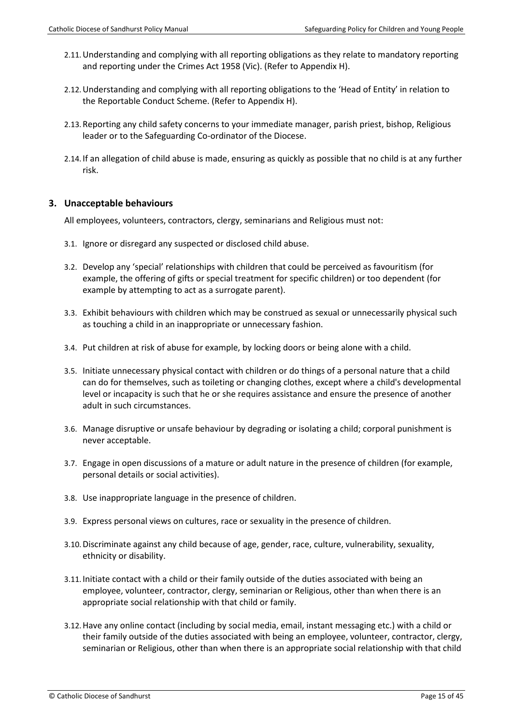- 2.11.Understanding and complying with all reporting obligations as they relate to mandatory reporting and reporting under the Crimes Act 1958 (Vic). (Refer to Appendix H).
- 2.12.Understanding and complying with all reporting obligations to the 'Head of Entity' in relation to the Reportable Conduct Scheme. (Refer to Appendix H).
- 2.13.Reporting any child safety concerns to your immediate manager, parish priest, bishop, Religious leader or to the Safeguarding Co-ordinator of the Diocese.
- 2.14. If an allegation of child abuse is made, ensuring as quickly as possible that no child is at any further risk.

#### **3. Unacceptable behaviours**

All employees, volunteers, contractors, clergy, seminarians and Religious must not:

- 3.1. Ignore or disregard any suspected or disclosed child abuse.
- 3.2. Develop any 'special' relationships with children that could be perceived as favouritism (for example, the offering of gifts or special treatment for specific children) or too dependent (for example by attempting to act as a surrogate parent).
- 3.3. Exhibit behaviours with children which may be construed as sexual or unnecessarily physical such as touching a child in an inappropriate or unnecessary fashion.
- 3.4. Put children at risk of abuse for example, by locking doors or being alone with a child.
- 3.5. Initiate unnecessary physical contact with children or do things of a personal nature that a child can do for themselves, such as toileting or changing clothes, except where a child's developmental level or incapacity is such that he or she requires assistance and ensure the presence of another adult in such circumstances.
- 3.6. Manage disruptive or unsafe behaviour by degrading or isolating a child; corporal punishment is never acceptable.
- 3.7. Engage in open discussions of a mature or adult nature in the presence of children (for example, personal details or social activities).
- 3.8. Use inappropriate language in the presence of children.
- 3.9. Express personal views on cultures, race or sexuality in the presence of children.
- 3.10.Discriminate against any child because of age, gender, race, culture, vulnerability, sexuality, ethnicity or disability.
- 3.11. Initiate contact with a child or their family outside of the duties associated with being an employee, volunteer, contractor, clergy, seminarian or Religious, other than when there is an appropriate social relationship with that child or family.
- 3.12.Have any online contact (including by social media, email, instant messaging etc.) with a child or their family outside of the duties associated with being an employee, volunteer, contractor, clergy, seminarian or Religious, other than when there is an appropriate social relationship with that child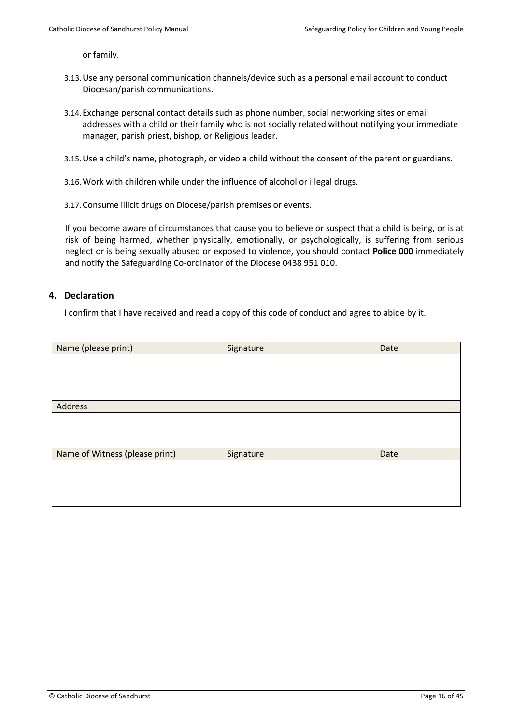or family.

- 3.13.Use any personal communication channels/device such as a personal email account to conduct Diocesan/parish communications.
- 3.14.Exchange personal contact details such as phone number, social networking sites or email addresses with a child or their family who is not socially related without notifying your immediate manager, parish priest, bishop, or Religious leader.
- 3.15.Use a child's name, photograph, or video a child without the consent of the parent or guardians.
- 3.16.Work with children while under the influence of alcohol or illegal drugs.
- 3.17.Consume illicit drugs on Diocese/parish premises or events.

If you become aware of circumstances that cause you to believe or suspect that a child is being, or is at risk of being harmed, whether physically, emotionally, or psychologically, is suffering from serious neglect or is being sexually abused or exposed to violence, you should contact **Police 000** immediately and notify the Safeguarding Co-ordinator of the Diocese 0438 951 010.

#### **4. Declaration**

I confirm that I have received and read a copy of this code of conduct and agree to abide by it.

| Name (please print)            | Signature | Date |
|--------------------------------|-----------|------|
|                                |           |      |
|                                |           |      |
|                                |           |      |
|                                |           |      |
| Address                        |           |      |
|                                |           |      |
|                                |           |      |
|                                |           |      |
| Name of Witness (please print) | Signature | Date |
|                                |           |      |
|                                |           |      |
|                                |           |      |
|                                |           |      |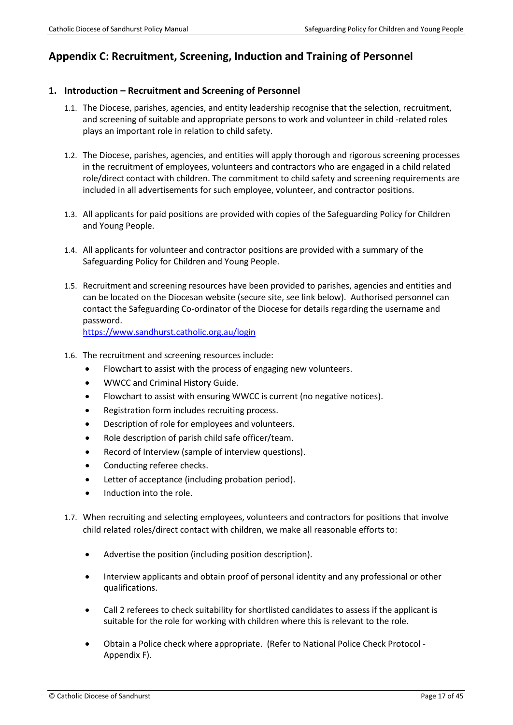# <span id="page-16-0"></span>**Appendix C: Recruitment, Screening, Induction and Training of Personnel**

# **1. Introduction – Recruitment and Screening of Personnel**

- 1.1. The Diocese, parishes, agencies, and entity leadership recognise that the selection, recruitment, and screening of suitable and appropriate persons to work and volunteer in child -related roles plays an important role in relation to child safety.
- 1.2. The Diocese, parishes, agencies, and entities will apply thorough and rigorous screening processes in the recruitment of employees, volunteers and contractors who are engaged in a child related role/direct contact with children. The commitment to child safety and screening requirements are included in all advertisements for such employee, volunteer, and contractor positions.
- 1.3. All applicants for paid positions are provided with copies of the Safeguarding Policy for Children and Young People.
- 1.4. All applicants for volunteer and contractor positions are provided with a summary of the Safeguarding Policy for Children and Young People.
- 1.5. Recruitment and screening resources have been provided to parishes, agencies and entities and can be located on the Diocesan website (secure site, see link below). Authorised personnel can contact the Safeguarding Co-ordinator of the Diocese for details regarding the username and password.

<https://www.sandhurst.catholic.org.au/login>

- 1.6. The recruitment and screening resources include:
	- Flowchart to assist with the process of engaging new volunteers.
	- WWCC and Criminal History Guide.
	- Flowchart to assist with ensuring WWCC is current (no negative notices).
	- Registration form includes recruiting process.
	- Description of role for employees and volunteers.
	- Role description of parish child safe officer/team.
	- Record of Interview (sample of interview questions).
	- Conducting referee checks.
	- Letter of acceptance (including probation period).
	- Induction into the role.
- 1.7. When recruiting and selecting employees, volunteers and contractors for positions that involve child related roles/direct contact with children, we make all reasonable efforts to:
	- Advertise the position (including position description).
	- Interview applicants and obtain proof of personal identity and any professional or other qualifications.
	- Call 2 referees to check suitability for shortlisted candidates to assess if the applicant is suitable for the role for working with children where this is relevant to the role.
	- Obtain a Police check where appropriate. (Refer to National Police Check Protocol Appendix F).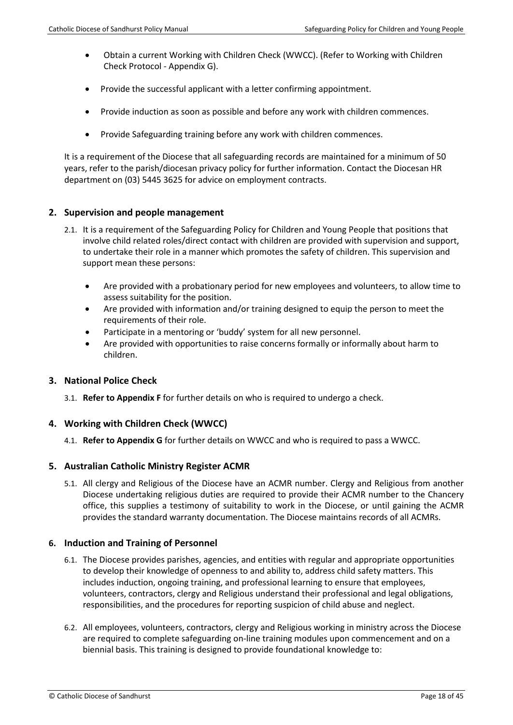- Obtain a current Working with Children Check (WWCC). (Refer to Working with Children Check Protocol - Appendix G).
- Provide the successful applicant with a letter confirming appointment.
- Provide induction as soon as possible and before any work with children commences.
- Provide Safeguarding training before any work with children commences.

It is a requirement of the Diocese that all safeguarding records are maintained for a minimum of 50 years, refer to the parish/diocesan privacy policy for further information. Contact the Diocesan HR department on (03) 5445 3625 for advice on employment contracts.

#### **2. Supervision and people management**

- 2.1. It is a requirement of the Safeguarding Policy for Children and Young People that positions that involve child related roles/direct contact with children are provided with supervision and support, to undertake their role in a manner which promotes the safety of children. This supervision and support mean these persons:
	- Are provided with a probationary period for new employees and volunteers, to allow time to assess suitability for the position.
	- Are provided with information and/or training designed to equip the person to meet the requirements of their role.
	- Participate in a mentoring or 'buddy' system for all new personnel.
	- Are provided with opportunities to raise concerns formally or informally about harm to children.

#### **3. National Police Check**

3.1. **Refer to Appendix F** for further details on who is required to undergo a check.

#### **4. Working with Children Check (WWCC)**

4.1. **Refer to Appendix G** for further details on WWCC and who is required to pass a WWCC.

#### **5. Australian Catholic Ministry Register ACMR**

5.1. All clergy and Religious of the Diocese have an ACMR number. Clergy and Religious from another Diocese undertaking religious duties are required to provide their ACMR number to the Chancery office, this supplies a testimony of suitability to work in the Diocese, or until gaining the ACMR provides the standard warranty documentation. The Diocese maintains records of all ACMRs.

# **6. Induction and Training of Personnel**

- 6.1. The Diocese provides parishes, agencies, and entities with regular and appropriate opportunities to develop their knowledge of openness to and ability to, address child safety matters. This includes induction, ongoing training, and professional learning to ensure that employees, volunteers, contractors, clergy and Religious understand their professional and legal obligations, responsibilities, and the procedures for reporting suspicion of child abuse and neglect.
- 6.2. All employees, volunteers, contractors, clergy and Religious working in ministry across the Diocese are required to complete safeguarding on-line training modules upon commencement and on a biennial basis. This training is designed to provide foundational knowledge to: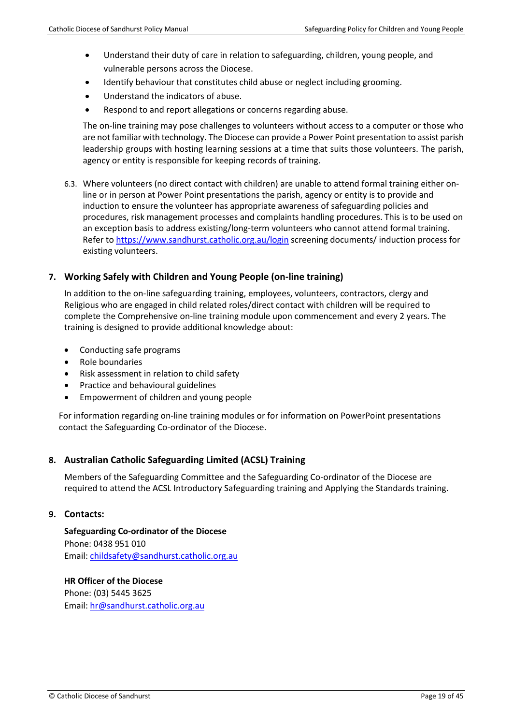- Understand their duty of care in relation to safeguarding, children, young people, and vulnerable persons across the Diocese.
- Identify behaviour that constitutes child abuse or neglect including grooming.
- Understand the indicators of abuse.
- Respond to and report allegations or concerns regarding abuse.

The on-line training may pose challenges to volunteers without access to a computer or those who are not familiar with technology. The Diocese can provide a Power Point presentation to assist parish leadership groups with hosting learning sessions at a time that suits those volunteers. The parish, agency or entity is responsible for keeping records of training.

6.3. Where volunteers (no direct contact with children) are unable to attend formal training either online or in person at Power Point presentations the parish, agency or entity is to provide and induction to ensure the volunteer has appropriate awareness of safeguarding policies and procedures, risk management processes and complaints handling procedures. This is to be used on an exception basis to address existing/long-term volunteers who cannot attend formal training. Refer to<https://www.sandhurst.catholic.org.au/login> screening documents/ induction process for existing volunteers.

# **7. Working Safely with Children and Young People (on-line training)**

In addition to the on-line safeguarding training, employees, volunteers, contractors, clergy and Religious who are engaged in child related roles/direct contact with children will be required to complete the Comprehensive on-line training module upon commencement and every 2 years. The training is designed to provide additional knowledge about:

- Conducting safe programs
- Role boundaries
- Risk assessment in relation to child safety
- Practice and behavioural guidelines
- Empowerment of children and young people

For information regarding on-line training modules or for information on PowerPoint presentations contact the Safeguarding Co-ordinator of the Diocese.

# **8. Australian Catholic Safeguarding Limited (ACSL) Training**

Members of the Safeguarding Committee and the Safeguarding Co-ordinator of the Diocese are required to attend the ACSL Introductory Safeguarding training and Applying the Standards training.

#### **9. Contacts:**

**Safeguarding Co-ordinator of the Diocese** Phone: 0438 951 010 Email[: childsafety@sandhurst.catholic.org.au](mailto:childsafety@sandhurst.catholic.org.au)

**HR Officer of the Diocese** Phone: (03) 5445 3625 Email[: hr@sandhurst.catholic.org.au](mailto:hr@sandhurst.catholic.org.au)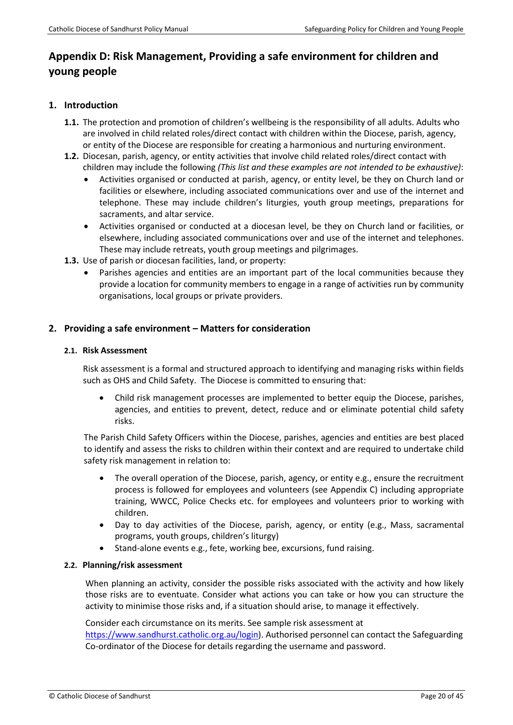# <span id="page-19-0"></span>**Appendix D: Risk Management, Providing a safe environment for children and young people**

# **1. Introduction**

- **1.1.** The protection and promotion of children's wellbeing is the responsibility of all adults. Adults who are involved in child related roles/direct contact with children within the Diocese, parish, agency, or entity of the Diocese are responsible for creating a harmonious and nurturing environment.
- **1.2.** Diocesan, parish, agency, or entity activities that involve child related roles/direct contact with children may include the following *(This list and these examples are not intended to be exhaustive)*:
	- Activities organised or conducted at parish, agency, or entity level, be they on Church land or facilities or elsewhere, including associated communications over and use of the internet and telephone. These may include children's liturgies, youth group meetings, preparations for sacraments, and altar service.
	- Activities organised or conducted at a diocesan level, be they on Church land or facilities, or elsewhere, including associated communications over and use of the internet and telephones. These may include retreats, youth group meetings and pilgrimages.
- **1.3.** Use of parish or diocesan facilities, land, or property:
	- Parishes agencies and entities are an important part of the local communities because they provide a location for community members to engage in a range of activities run by community organisations, local groups or private providers.

# **2. Providing a safe environment – Matters for consideration**

#### **2.1. Risk Assessment**

Risk assessment is a formal and structured approach to identifying and managing risks within fields such as OHS and Child Safety. The Diocese is committed to ensuring that:

• Child risk management processes are implemented to better equip the Diocese, parishes, agencies, and entities to prevent, detect, reduce and or eliminate potential child safety risks.

The Parish Child Safety Officers within the Diocese, parishes, agencies and entities are best placed to identify and assess the risks to children within their context and are required to undertake child safety risk management in relation to:

- The overall operation of the Diocese, parish, agency, or entity e.g., ensure the recruitment process is followed for employees and volunteers (see Appendix C) including appropriate training, WWCC, Police Checks etc. for employees and volunteers prior to working with children.
- Day to day activities of the Diocese, parish, agency, or entity (e.g., Mass, sacramental programs, youth groups, children's liturgy)
- Stand-alone events e.g., fete, working bee, excursions, fund raising.

# **2.2. Planning/risk assessment**

When planning an activity, consider the possible risks associated with the activity and how likely those risks are to eventuate. Consider what actions you can take or how you can structure the activity to minimise those risks and, if a situation should arise, to manage it effectively.

Consider each circumstance on its merits. See sample risk assessment at [https://www.sandhurst.catholic.org.au/login\)](https://www.sandhurst.catholic.org.au/login). Authorised personnel can contact the Safeguarding Co-ordinator of the Diocese for details regarding the username and password.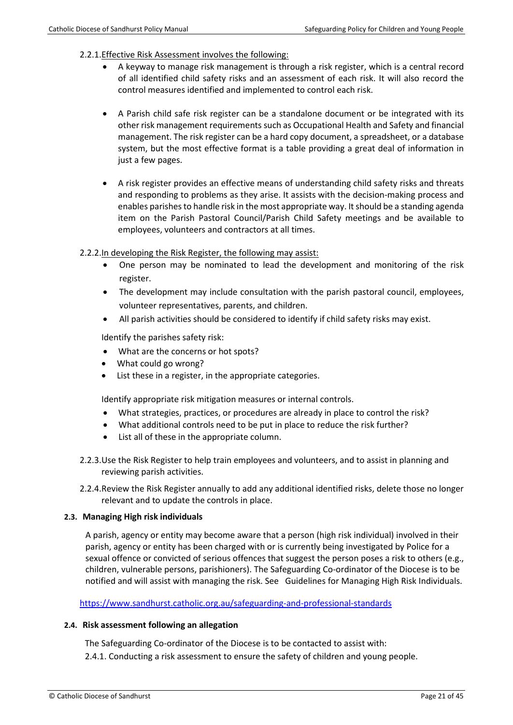#### 2.2.1.Effective Risk Assessment involves the following:

- A keyway to manage risk management is through a risk register, which is a central record of all identified child safety risks and an assessment of each risk. It will also record the control measures identified and implemented to control each risk.
- A Parish child safe risk register can be a standalone document or be integrated with its other risk management requirements such as Occupational Health and Safety and financial management. The risk register can be a hard copy document, a spreadsheet, or a database system, but the most effective format is a table providing a great deal of information in just a few pages.
- A risk register provides an effective means of understanding child safety risks and threats and responding to problems as they arise. It assists with the decision-making process and enables parishes to handle risk in the most appropriate way. It should be a standing agenda item on the Parish Pastoral Council/Parish Child Safety meetings and be available to employees, volunteers and contractors at all times.

#### 2.2.2.In developing the Risk Register, the following may assist:

- One person may be nominated to lead the development and monitoring of the risk register.
- The development may include consultation with the parish pastoral council, employees, volunteer representatives, parents, and children.
- All parish activities should be considered to identify if child safety risks may exist.

Identify the parishes safety risk:

- What are the concerns or hot spots?
- What could go wrong?
- List these in a register, in the appropriate categories.

Identify appropriate risk mitigation measures or internal controls.

- What strategies, practices, or procedures are already in place to control the risk?
- What additional controls need to be put in place to reduce the risk further?
- List all of these in the appropriate column.
- 2.2.3.Use the Risk Register to help train employees and volunteers, and to assist in planning and reviewing parish activities.
- 2.2.4.Review the Risk Register annually to add any additional identified risks, delete those no longer relevant and to update the controls in place.

#### **2.3. Managing High risk individuals**

A parish, agency or entity may become aware that a person (high risk individual) involved in their parish, agency or entity has been charged with or is currently being investigated by Police for a sexual offence or convicted of serious offences that suggest the person poses a risk to others (e.g., children, vulnerable persons, parishioners). The Safeguarding Co-ordinator of the Diocese is to be notified and will assist with managing the risk. See Guidelines for Managing High Risk Individuals.

<https://www.sandhurst.catholic.org.au/safeguarding-and-professional-standards>

#### **2.4. Risk assessment following an allegation**

The Safeguarding Co-ordinator of the Diocese is to be contacted to assist with:

2.4.1. Conducting a risk assessment to ensure the safety of children and young people.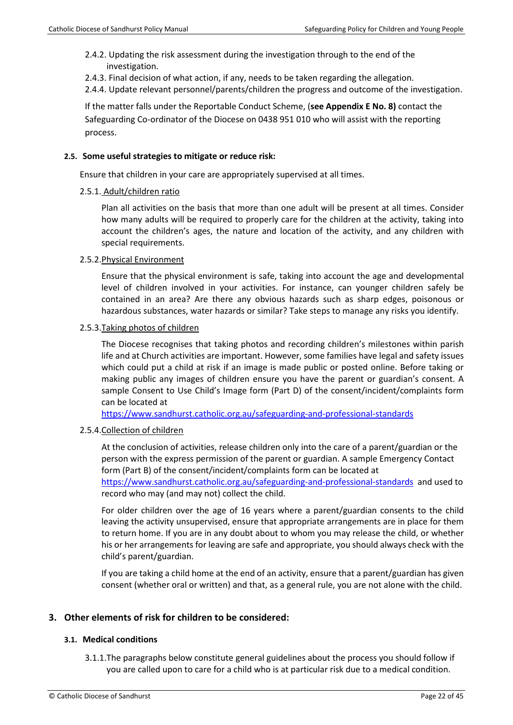- 2.4.2. Updating the risk assessment during the investigation through to the end of the investigation.
- 2.4.3. Final decision of what action, if any, needs to be taken regarding the allegation.

2.4.4. Update relevant personnel/parents/children the progress and outcome of the investigation.

If the matter falls under the Reportable Conduct Scheme, (**see Appendix E No. 8)** contact the Safeguarding Co-ordinator of the Diocese on 0438 951 010 who will assist with the reporting process.

#### **2.5. Some useful strategies to mitigate or reduce risk:**

Ensure that children in your care are appropriately supervised at all times.

#### 2.5.1. Adult/children ratio

Plan all activities on the basis that more than one adult will be present at all times. Consider how many adults will be required to properly care for the children at the activity, taking into account the children's ages, the nature and location of the activity, and any children with special requirements.

#### 2.5.2.Physical Environment

Ensure that the physical environment is safe, taking into account the age and developmental level of children involved in your activities. For instance, can younger children safely be contained in an area? Are there any obvious hazards such as sharp edges, poisonous or hazardous substances, water hazards or similar? Take steps to manage any risks you identify.

#### 2.5.3.Taking photos of children

The Diocese recognises that taking photos and recording children's milestones within parish life and at Church activities are important. However, some families have legal and safety issues which could put a child at risk if an image is made public or posted online. Before taking or making public any images of children ensure you have the parent or guardian's consent. A sample Consent to Use Child's Image form (Part D) of the consent/incident/complaints form can be located at

<https://www.sandhurst.catholic.org.au/safeguarding-and-professional-standards>

#### 2.5.4.Collection of children

At the conclusion of activities, release children only into the care of a parent/guardian or the person with the express permission of the parent or guardian. A sample Emergency Contact form (Part B) of the consent/incident/complaints form can be located at <https://www.sandhurst.catholic.org.au/safeguarding-and-professional-standards>and used to

record who may (and may not) collect the child.

For older children over the age of 16 years where a parent/guardian consents to the child leaving the activity unsupervised, ensure that appropriate arrangements are in place for them to return home. If you are in any doubt about to whom you may release the child, or whether his or her arrangements for leaving are safe and appropriate, you should always check with the child's parent/guardian.

If you are taking a child home at the end of an activity, ensure that a parent/guardian has given consent (whether oral or written) and that, as a general rule, you are not alone with the child.

# **3. Other elements of risk for children to be considered:**

#### **3.1. Medical conditions**

3.1.1.The paragraphs below constitute general guidelines about the process you should follow if you are called upon to care for a child who is at particular risk due to a medical condition.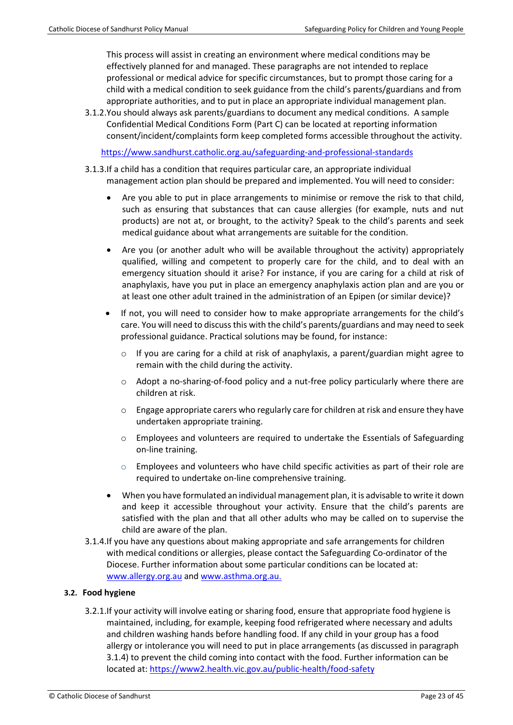This process will assist in creating an environment where medical conditions may be effectively planned for and managed. These paragraphs are not intended to replace professional or medical advice for specific circumstances, but to prompt those caring for a child with a medical condition to seek guidance from the child's parents/guardians and from appropriate authorities, and to put in place an appropriate individual management plan.

3.1.2.You should always ask parents/guardians to document any medical conditions. A sample Confidential Medical Conditions Form (Part C) can be located at reporting information consent/incident/complaints form keep completed forms accessible throughout the activity.

<https://www.sandhurst.catholic.org.au/safeguarding-and-professional-standards>

- 3.1.3.If a child has a condition that requires particular care, an appropriate individual management action plan should be prepared and implemented. You will need to consider:
	- Are you able to put in place arrangements to minimise or remove the risk to that child, such as ensuring that substances that can cause allergies (for example, nuts and nut products) are not at, or brought, to the activity? Speak to the child's parents and seek medical guidance about what arrangements are suitable for the condition.
	- Are you (or another adult who will be available throughout the activity) appropriately qualified, willing and competent to properly care for the child, and to deal with an emergency situation should it arise? For instance, if you are caring for a child at risk of anaphylaxis, have you put in place an emergency anaphylaxis action plan and are you or at least one other adult trained in the administration of an Epipen (or similar device)?
	- If not, you will need to consider how to make appropriate arrangements for the child's care. You will need to discuss this with the child's parents/guardians and may need to seek professional guidance. Practical solutions may be found, for instance:
		- $\circ$  If you are caring for a child at risk of anaphylaxis, a parent/guardian might agree to remain with the child during the activity.
		- $\circ$  Adopt a no-sharing-of-food policy and a nut-free policy particularly where there are children at risk.
		- $\circ$  Engage appropriate carers who regularly care for children at risk and ensure they have undertaken appropriate training.
		- $\circ$  Employees and volunteers are required to undertake the Essentials of Safeguarding on-line training.
		- $\circ$  Employees and volunteers who have child specific activities as part of their role are required to undertake on-line comprehensive training.
	- When you have formulated an individual management plan, it is advisable to write it down and keep it accessible throughout your activity. Ensure that the child's parents are satisfied with the plan and that all other adults who may be called on to supervise the child are aware of the plan.
- 3.1.4.If you have any questions about making appropriate and safe arrangements for children with medical conditions or allergies, please contact the Safeguarding Co-ordinator of the Diocese. Further information about some particular conditions can be located at: [www.allergy.org.au](http://www.allergy.org.au/) and [www.asthma.org.au](http://www.asthma.org.au/).

# **3.2. Food hygiene**

3.2.1.If your activity will involve eating or sharing food, ensure that appropriate food hygiene is maintained, including, for example, keeping food refrigerated where necessary and adults and children washing hands before handling food. If any child in your group has a food allergy or intolerance you will need to put in place arrangements (as discussed in paragraph 3.1.4) to prevent the child coming into contact with the food. Further information can be located at:<https://www2.health.vic.gov.au/public-health/food-safety>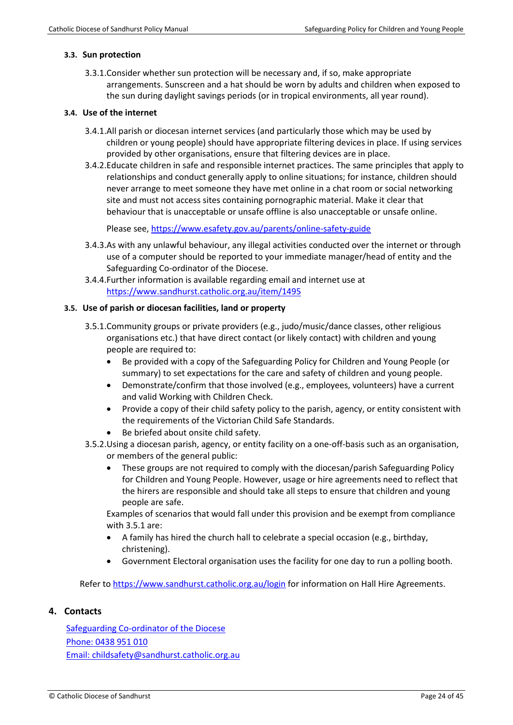#### **3.3. Sun protection**

3.3.1.Consider whether sun protection will be necessary and, if so, make appropriate arrangements. Sunscreen and a hat should be worn by adults and children when exposed to the sun during daylight savings periods (or in tropical environments, all year round).

#### **3.4. Use of the internet**

- 3.4.1.All parish or diocesan internet services (and particularly those which may be used by children or young people) should have appropriate filtering devices in place. If using services provided by other organisations, ensure that filtering devices are in place.
- 3.4.2.Educate children in safe and responsible internet practices. The same principles that apply to relationships and conduct generally apply to online situations; for instance, children should never arrange to meet someone they have met online in a chat room or social networking site and must not access sites containing pornographic material. Make it clear that behaviour that is unacceptable or unsafe offline is also unacceptable or unsafe online.

Please see, <https://www.esafety.gov.au/parents/online-safety-guide>

- 3.4.3.As with any unlawful behaviour, any illegal activities conducted over the internet or through use of a computer should be reported to your immediate manager/head of entity and the Safeguarding Co-ordinator of the Diocese.
- 3.4.4.Further information is available regarding email and internet use at <https://www.sandhurst.catholic.org.au/item/1495>

#### **3.5. Use of parish or diocesan facilities, land or property**

- 3.5.1.Community groups or private providers (e.g., judo/music/dance classes, other religious organisations etc.) that have direct contact (or likely contact) with children and young people are required to:
	- Be provided with a copy of the Safeguarding Policy for Children and Young People (or summary) to set expectations for the care and safety of children and young people.
	- Demonstrate/confirm that those involved (e.g., employees, volunteers) have a current and valid Working with Children Check.
	- Provide a copy of their child safety policy to the parish, agency, or entity consistent with the requirements of the Victorian Child Safe Standards.
	- Be briefed about onsite child safety.
- 3.5.2.Using a diocesan parish, agency, or entity facility on a one-off-basis such as an organisation, or members of the general public:
	- These groups are not required to comply with the diocesan/parish Safeguarding Policy for Children and Young People. However, usage or hire agreements need to reflect that the hirers are responsible and should take all steps to ensure that children and young people are safe.

Examples of scenarios that would fall under this provision and be exempt from compliance with 3.5.1 are:

- A family has hired the church hall to celebrate a special occasion (e.g., birthday, christening).
- Government Electoral organisation uses the facility for one day to run a polling booth.

Refer to<https://www.sandhurst.catholic.org.au/login> for information on Hall Hire Agreements.

#### **4. Contacts**

Safeguarding Co-ordinator of the Diocese Phone: 0438 951 010 Email: [childsafety@sandhurst.catholic.org.au](mailto:childsafety@sandhurst.catholic.org.au)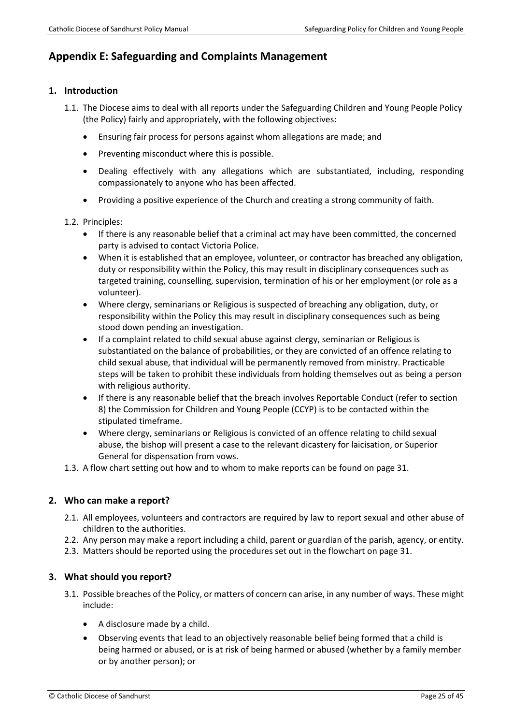# <span id="page-24-0"></span>**Appendix E: Safeguarding and Complaints Management**

#### **1. Introduction**

- 1.1. The Diocese aims to deal with all reports under the Safeguarding Children and Young People Policy (the Policy) fairly and appropriately, with the following objectives:
	- Ensuring fair process for persons against whom allegations are made; and
	- Preventing misconduct where this is possible.
	- Dealing effectively with any allegations which are substantiated, including, responding compassionately to anyone who has been affected.
	- Providing a positive experience of the Church and creating a strong community of faith.
- 1.2. Principles:
	- If there is any reasonable belief that a criminal act may have been committed, the concerned party is advised to contact Victoria Police.
	- When it is established that an employee, volunteer, or contractor has breached any obligation, duty or responsibility within the Policy, this may result in disciplinary consequences such as targeted training, counselling, supervision, termination of his or her employment (or role as a volunteer).
	- Where clergy, seminarians or Religious is suspected of breaching any obligation, duty, or responsibility within the Policy this may result in disciplinary consequences such as being stood down pending an investigation.
	- If a complaint related to child sexual abuse against clergy, seminarian or Religious is substantiated on the balance of probabilities, or they are convicted of an offence relating to child sexual abuse, that individual will be permanently removed from ministry. Practicable steps will be taken to prohibit these individuals from holding themselves out as being a person with religious authority.
	- If there is any reasonable belief that the breach involves Reportable Conduct (refer to section 8) the Commission for Children and Young People (CCYP) is to be contacted within the stipulated timeframe.
	- Where clergy, seminarians or Religious is convicted of an offence relating to child sexual abuse, the bishop will present a case to the relevant dicastery for laicisation, or Superior General for dispensation from vows.
- 1.3. A flow chart setting out how and to whom to make reports can be found on page 31.

#### **2. Who can make a report?**

- 2.1. All employees, volunteers and contractors are required by law to report sexual and other abuse of children to the authorities.
- 2.2. Any person may make a report including a child, parent or guardian of the parish, agency, or entity.
- 2.3. Matters should be reported using the procedures set out in the flowchart on page 31.

# **3. What should you report?**

- 3.1. Possible breaches of the Policy, or matters of concern can arise, in any number of ways. These might include:
	- A disclosure made by a child.
	- Observing events that lead to an objectively reasonable belief being formed that a child is being harmed or abused, or is at risk of being harmed or abused (whether by a family member or by another person); or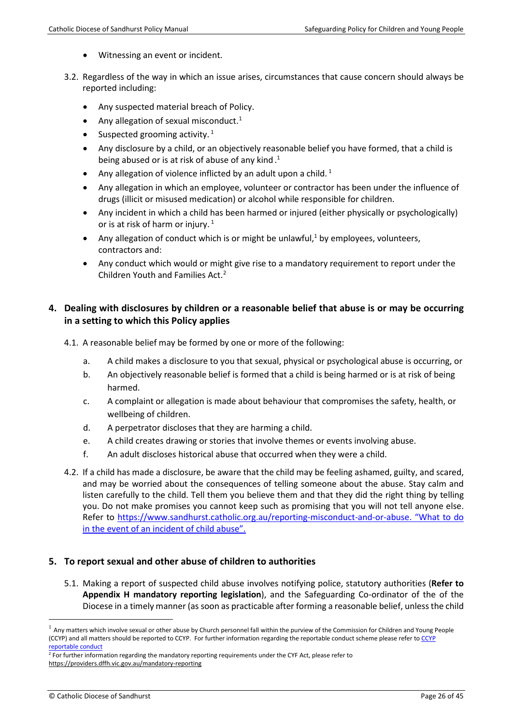- Witnessing an event or incident.
- 3.2. Regardless of the way in which an issue arises, circumstances that cause concern should always be reported including:
	- Any suspected material breach of Policy.
	- Any allegation of sexual misconduct.<sup>[1](#page-25-0)</sup>
	- Suspected grooming activity.  $1$
	- Any disclosure by a child, or an objectively reasonable belief you have formed, that a child is being abused or is at risk of abuse of any kind.<sup>1</sup>
	- Any allegation of violence inflicted by an adult upon a child.<sup>1</sup>
	- Any allegation in which an employee, volunteer or contractor has been under the influence of drugs (illicit or misused medication) or alcohol while responsible for children.
	- Any incident in which a child has been harmed or injured (either physically or psychologically) or is at risk of harm or injury.<sup>1</sup>
	- Any allegation of conduct which is or might be unlawful, $1$  by employees, volunteers, contractors and:
	- Any conduct which would or might give rise to a mandatory requirement to report under the Children Youth and Families Act.<sup>[2](#page-25-1)</sup>

# **4. Dealing with disclosures by children or a reasonable belief that abuse is or may be occurring in a setting to which this Policy applies**

- 4.1. A reasonable belief may be formed by one or more of the following:
	- a. A child makes a disclosure to you that sexual, physical or psychological abuse is occurring, or
	- b. An objectively reasonable belief is formed that a child is being harmed or is at risk of being harmed.
	- c. A complaint or allegation is made about behaviour that compromises the safety, health, or wellbeing of children.
	- d. A perpetrator discloses that they are harming a child.
	- e. A child creates drawing or stories that involve themes or events involving abuse.
	- f. An adult discloses historical abuse that occurred when they were a child.
- 4.2. If a child has made a disclosure, be aware that the child may be feeling ashamed, guilty, and scared, and may be worried about the consequences of telling someone about the abuse. Stay calm and listen carefully to the child. Tell them you believe them and that they did the right thing by telling you. Do not make promises you cannot keep such as promising that you will not tell anyone else. Refer to [https://www.sandhurst.catholic.org.au/reporting-misconduct-and-or-abuse.](https://www.sandhurst.catholic.org.au/reporting-misconduct-and-or-abuse) "What to do in the event of an incident of child abuse".

# **5. To report sexual and other abuse of children to authorities**

5.1. Making a report of suspected child abuse involves notifying police, statutory authorities (**Refer to Appendix H mandatory reporting legislation**), and the Safeguarding Co-ordinator of the of the Diocese in a timely manner (as soon as practicable after forming a reasonable belief, unless the child

<span id="page-25-0"></span> $<sup>1</sup>$  Any matters which involve sexual or other abuse by Church personnel fall within the purview of the Commission for Children and Young People</sup> (CCYP) and all matters should be reported to CCYP. For further information regarding the reportable conduct scheme please refer to [CCYP](https://ccyp.vic.gov.au/child-safety/resources/reportable-conduct-scheme-information-sheets/)  reportable conduct<br><sup>2</sup> For further information regarding the mandatory reporting requirements under the CYF Act, please refer to

<span id="page-25-1"></span><https://providers.dffh.vic.gov.au/mandatory-reporting>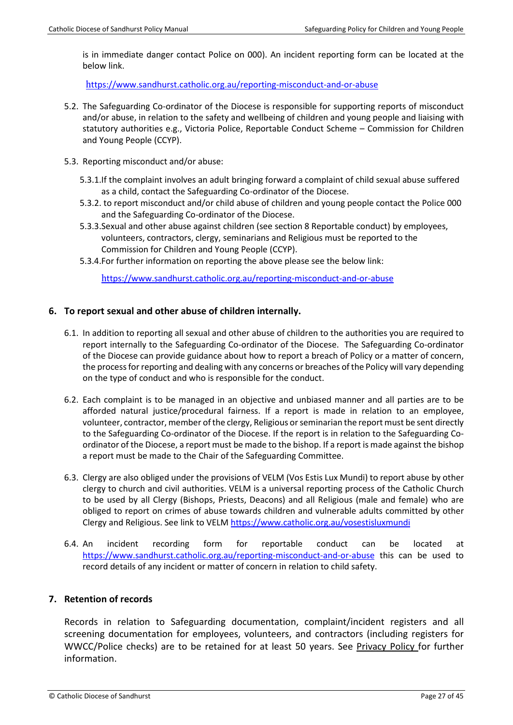is in immediate danger contact Police on 000). An incident reporting form can be located at the below link.

h[ttps://www.sandhurst.catholic.org.au/reporting-misconduct-and-or-abuse](https://www.sandhurst.catholic.org.au/reporting-misconduct-and-or-abuse)

- 5.2. The Safeguarding Co-ordinator of the Diocese is responsible for supporting reports of misconduct and/or abuse, in relation to the safety and wellbeing of children and young people and liaising with statutory authorities e.g., Victoria Police, Reportable Conduct Scheme – Commission for Children and Young People (CCYP).
- 5.3. Reporting misconduct and/or abuse:
	- 5.3.1.If the complaint involves an adult bringing forward a complaint of child sexual abuse suffered as a child, contact the Safeguarding Co-ordinator of the Diocese.
	- 5.3.2. to report misconduct and/or child abuse of children and young people contact the Police 000 and the Safeguarding Co-ordinator of the Diocese.
	- 5.3.3.Sexual and other abuse against children (see section 8 Reportable conduct) by employees, volunteers, contractors, clergy, seminarians and Religious must be reported to the Commission for Children and Young People (CCYP).
	- 5.3.4.For further information on reporting the above please see the below link:

h[ttps://www.sandhurst.catholic.org.au/reporting-misconduct-and-or-abuse](https://www.sandhurst.catholic.org.au/reporting-misconduct-and-or-abuse)

#### **6. To report sexual and other abuse of children internally.**

- 6.1. In addition to reporting all sexual and other abuse of children to the authorities you are required to report internally to the Safeguarding Co-ordinator of the Diocese. The Safeguarding Co-ordinator of the Diocese can provide guidance about how to report a breach of Policy or a matter of concern, the process for reporting and dealing with any concerns or breaches of the Policy will vary depending on the type of conduct and who is responsible for the conduct.
- 6.2. Each complaint is to be managed in an objective and unbiased manner and all parties are to be afforded natural justice/procedural fairness. If a report is made in relation to an employee, volunteer, contractor, member of the clergy, Religious or seminarian the report must be sent directly to the Safeguarding Co-ordinator of the Diocese. If the report is in relation to the Safeguarding Coordinator of the Diocese, a report must be made to the bishop. If a report is made against the bishop a report must be made to the Chair of the Safeguarding Committee.
- 6.3. Clergy are also obliged under the provisions of VELM (Vos Estis Lux Mundi) to report abuse by other clergy to church and civil authorities. VELM is a universal reporting process of the Catholic Church to be used by all Clergy (Bishops, Priests, Deacons) and all Religious (male and female) who are obliged to report on crimes of abuse towards children and vulnerable adults committed by other Clergy and Religious. See link to VELM<https://www.catholic.org.au/vosestisluxmundi>
- 6.4. An incident recording form for reportable conduct can be located at <https://www.sandhurst.catholic.org.au/reporting-misconduct-and-or-abuse> this can be used to record details of any incident or matter of concern in relation to child safety.

# **7. Retention of records**

Records in relation to Safeguarding documentation, complaint/incident registers and all screening documentation for employees, volunteers, and contractors (including registers for WWCC/Police checks) are to be retained for at least 50 years. See [Privacy Policy f](https://www.sandhurst.catholic.org.au/index.php?option=com_docman&view=download&alias=886-cdos-privacy-policy-2016&category_slug=cdos-key-policies&Itemid=476)or further information.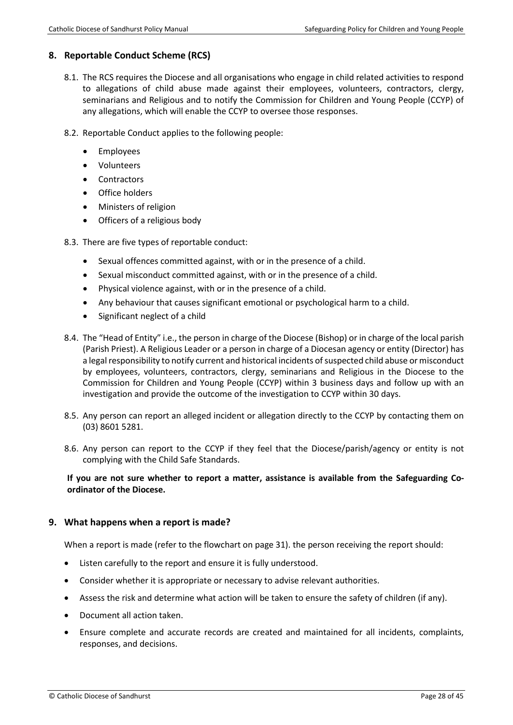# **8. Reportable Conduct Scheme (RCS)**

- 8.1. The RCS requires the Diocese and all organisations who engage in child related activities to respond to allegations of child abuse made against their employees, volunteers, contractors, clergy, seminarians and Religious and to notify the Commission for Children and Young People (CCYP) of any allegations, which will enable the CCYP to oversee those responses.
- 8.2. Reportable Conduct applies to the following people:
	- Employees
	- Volunteers
	- **Contractors**
	- Office holders
	- Ministers of religion
	- Officers of a religious body
- 8.3. There are five types of reportable conduct:
	- Sexual offences committed against, with or in the presence of a child.
	- Sexual misconduct committed against, with or in the presence of a child.
	- Physical violence against, with or in the presence of a child.
	- Any behaviour that causes significant emotional or psychological harm to a child.
	- Significant neglect of a child
- 8.4. The "Head of Entity" i.e., the person in charge of the Diocese (Bishop) or in charge of the local parish (Parish Priest). A Religious Leader or a person in charge of a Diocesan agency or entity (Director) has a legal responsibility to notify current and historical incidents of suspected child abuse or misconduct by employees, volunteers, contractors, clergy, seminarians and Religious in the Diocese to the Commission for Children and Young People (CCYP) within 3 business days and follow up with an investigation and provide the outcome of the investigation to CCYP within 30 days.
- 8.5. Any person can report an alleged incident or allegation directly to the CCYP by contacting them on (03) 8601 5281.
- 8.6. Any person can report to the CCYP if they feel that the Diocese/parish/agency or entity is not complying with the Child Safe Standards.

#### **If you are not sure whether to report a matter, assistance is available from the Safeguarding Coordinator of the Diocese.**

#### **9. What happens when a report is made?**

When a report is made (refer to the flowchart on page 31). the person receiving the report should:

- Listen carefully to the report and ensure it is fully understood.
- Consider whether it is appropriate or necessary to advise relevant authorities.
- Assess the risk and determine what action will be taken to ensure the safety of children (if any).
- Document all action taken.
- Ensure complete and accurate records are created and maintained for all incidents, complaints, responses, and decisions.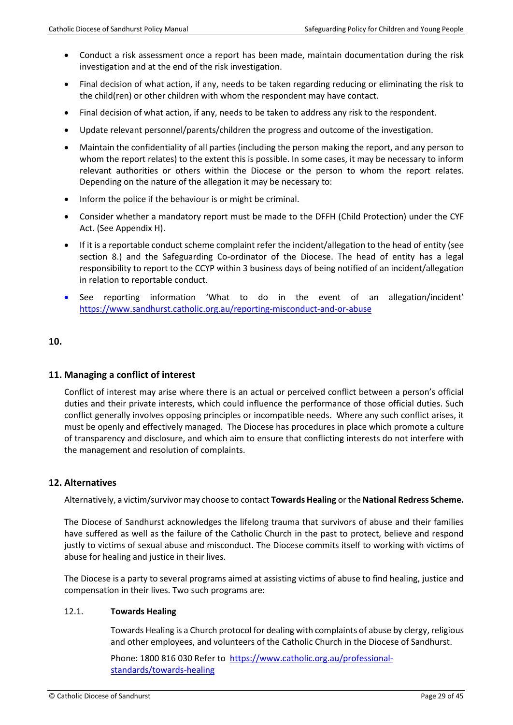- Conduct a risk assessment once a report has been made, maintain documentation during the risk investigation and at the end of the risk investigation.
- Final decision of what action, if any, needs to be taken regarding reducing or eliminating the risk to the child(ren) or other children with whom the respondent may have contact.
- Final decision of what action, if any, needs to be taken to address any risk to the respondent.
- Update relevant personnel/parents/children the progress and outcome of the investigation.
- Maintain the confidentiality of all parties (including the person making the report, and any person to whom the report relates) to the extent this is possible. In some cases, it may be necessary to inform relevant authorities or others within the Diocese or the person to whom the report relates. Depending on the nature of the allegation it may be necessary to:
- Inform the police if the behaviour is or might be criminal.
- Consider whether a mandatory report must be made to the DFFH (Child Protection) under the CYF Act. (See Appendix H).
- If it is a reportable conduct scheme complaint refer the incident/allegation to the head of entity (see section 8.) and the Safeguarding Co-ordinator of the Diocese. The head of entity has a legal responsibility to report to the CCYP within 3 business days of being notified of an incident/allegation in relation to reportable conduct.
- See reporting information 'What to do in the event of an allegation/incident' <https://www.sandhurst.catholic.org.au/reporting-misconduct-and-or-abuse>

# **10.**

# **11. Managing a conflict of interest**

Conflict of interest may arise where there is an actual or perceived conflict between a person's official duties and their private interests, which could influence the performance of those official duties. Such conflict generally involves opposing principles or incompatible needs. Where any such conflict arises, it must be openly and effectively managed. The Diocese has procedures in place which promote a culture of transparency and disclosure, and which aim to ensure that conflicting interests do not interfere with the management and resolution of complaints.

#### **12. Alternatives**

Alternatively, a victim/survivor may choose to contact **Towards Healing** or the **National Redress Scheme.**

The Diocese of Sandhurst acknowledges the lifelong trauma that survivors of abuse and their families have suffered as well as the failure of the Catholic Church in the past to protect, believe and respond justly to victims of sexual abuse and misconduct. The Diocese commits itself to working with victims of abuse for healing and justice in their lives.

The Diocese is a party to several programs aimed at assisting victims of abuse to find healing, justice and compensation in their lives. Two such programs are:

#### 12.1. **Towards Healing**

Towards Healing is a Church protocol for dealing with complaints of abuse by clergy, religious and other employees, and volunteers of the Catholic Church in the Diocese of Sandhurst.

Phone: 1800 816 030 Refer to [https://www.catholic.org.au/professional](https://www.catholic.org.au/professional-standards/towards-healing)[standards/towards-healing](https://www.catholic.org.au/professional-standards/towards-healing)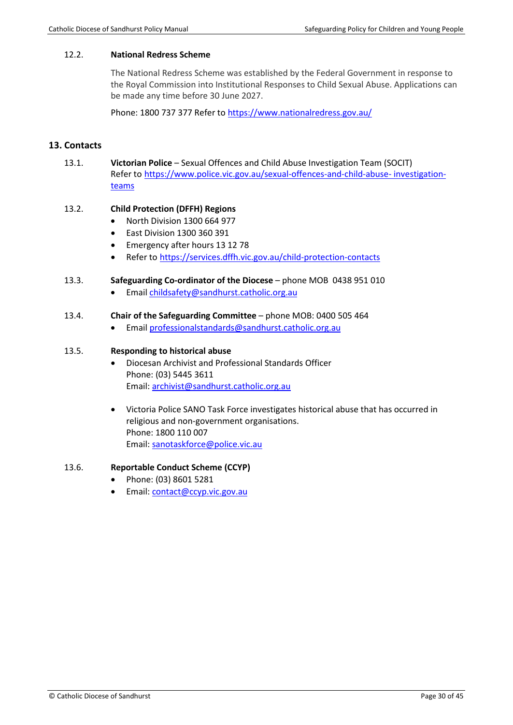#### 12.2. **National Redress Scheme**

The National Redress Scheme was established by the Federal Government in response to the Royal Commission into Institutional Responses to Child Sexual Abuse. Applications can be made any time before 30 June 2027.

Phone: 1800 737 377 Refer t[o https://www.nationalredress.gov.au/](https://www.nationalredress.gov.au/)

# **13. Contacts**

13.1. **Victorian Police** – Sexual Offences and Child Abuse Investigation Team (SOCIT) Refer to [https://www.police.vic.gov.au/sexual-offences-and-child-abuse-](https://www.police.vic.gov.au/sexual-offences-and-child-abuse-%20investigation-teams) investigation[teams](https://www.police.vic.gov.au/sexual-offences-and-child-abuse-%20investigation-teams)

# 13.2. **Child Protection (DFFH) Regions**

- North Division 1300 664 977
- East Division 1300 360 391
- Emergency after hours 13 12 78
- Refer to <https://services.dffh.vic.gov.au/child-protection-contacts>

#### 13.3. **Safeguarding Co-ordinator of the Diocese** – phone MOB 0438 951 010

• Emai[l childsafety@sandhurst.catholic.org.au](mailto:childsafety@sandhurst.catholic.org.au)

#### 13.4. **Chair of the Safeguarding Committee** – phone MOB: 0400 505 464

• Emai[l professionalstandards@sandhurst.catholic.org.au](mailto:professionalstandards@sandhurst.catholic.org.au)

#### 13.5. **Responding to historical abuse**

- Diocesan Archivist and Professional Standards Officer Phone: (03) 5445 3611 Email[: archivist@sandhurst.catholic.org.au](mailto:archivist@sandhurst.catholic.org.au)
- Victoria Police SANO Task Force investigates historical abuse that has occurred in religious and non-government organisations. Phone: 1800 110 007 Email[: sanotaskforce@police.vic.au](mailto:sanotaskforce@police.vic.au)

#### 13.6. **Reportable Conduct Scheme (CCYP)**

- Phone: (03) 8601 5281
- Email[: contact@ccyp.vic.gov.au](mailto:contact@ccyp.vic.gov.au)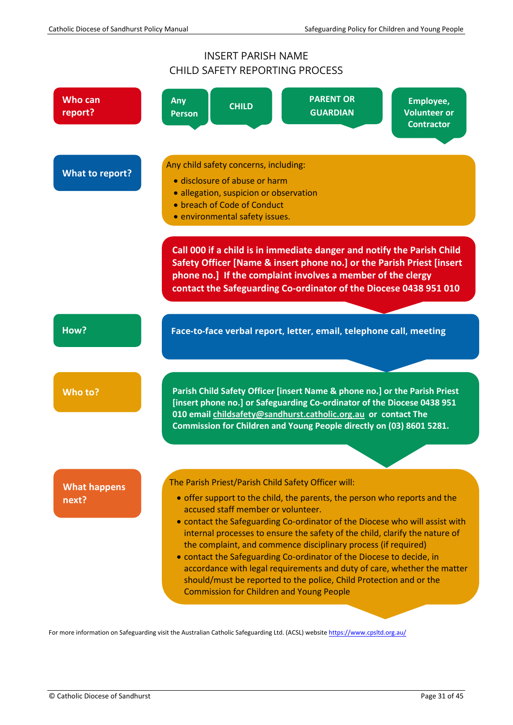# INSERT PARISH NAME CHILD SAFETY REPORTING PROCESS



For more information on Safeguarding visit the Australian Catholic Safeguarding Ltd. (ACSL) websit[e https://www.cpsltd.org.au/](https://www.cpsltd.org.au/)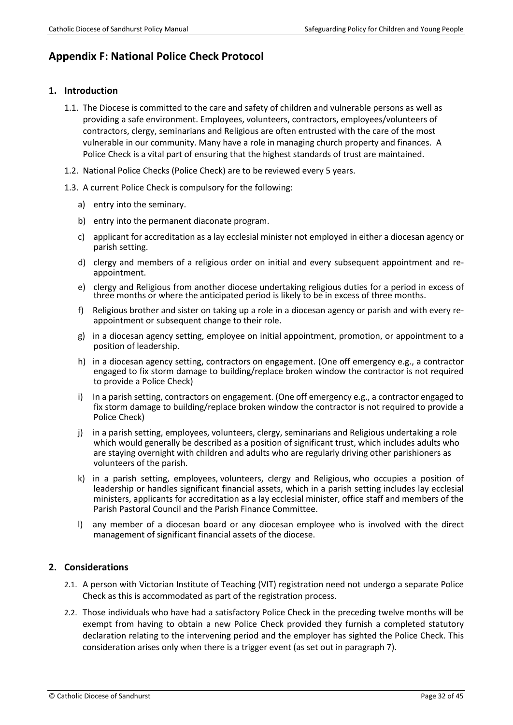# <span id="page-31-0"></span>**Appendix F: National Police Check Protocol**

#### **1. Introduction**

- 1.1. The Diocese is committed to the care and safety of children and vulnerable persons as well as providing a safe environment. Employees, volunteers, contractors, employees/volunteers of contractors, clergy, seminarians and Religious are often entrusted with the care of the most vulnerable in our community. Many have a role in managing church property and finances. A Police Check is a vital part of ensuring that the highest standards of trust are maintained.
- 1.2. National Police Checks (Police Check) are to be reviewed every 5 years.
- 1.3. A current Police Check is compulsory for the following:
	- a) entry into the seminary.
	- b) entry into the permanent diaconate program.
	- c) applicant for accreditation as a lay ecclesial minister not employed in either a diocesan agency or parish setting.
	- d) clergy and members of a religious order on initial and every subsequent appointment and reappointment.
	- e) clergy and Religious from another diocese undertaking religious duties for a period in excess of three months or where the anticipated period is likely to be in excess of three months.
	- f) Religious brother and sister on taking up a role in a diocesan agency or parish and with every reappointment or subsequent change to their role.
	- g) in a diocesan agency setting, employee on initial appointment, promotion, or appointment to a position of leadership.
	- h) in a diocesan agency setting, contractors on engagement. (One off emergency e.g., a contractor engaged to fix storm damage to building/replace broken window the contractor is not required to provide a Police Check)
	- i) In a parish setting, contractors on engagement. (One off emergency e.g., a contractor engaged to fix storm damage to building/replace broken window the contractor is not required to provide a Police Check)
	- j) in a parish setting, employees, volunteers, clergy, seminarians and Religious undertaking a role which would generally be described as a position of significant trust, which includes adults who are staying overnight with children and adults who are regularly driving other parishioners as volunteers of the parish.
	- k) in a parish setting, employees, volunteers, clergy and Religious, who occupies a position of leadership or handles significant financial assets, which in a parish setting includes lay ecclesial ministers, applicants for accreditation as a lay ecclesial minister, office staff and members of the Parish Pastoral Council and the Parish Finance Committee.
	- l) any member of a diocesan board or any diocesan employee who is involved with the direct management of significant financial assets of the diocese.

# **2. Considerations**

- 2.1. A person with Victorian Institute of Teaching (VIT) registration need not undergo a separate Police Check as this is accommodated as part of the registration process.
- 2.2. Those individuals who have had a satisfactory Police Check in the preceding twelve months will be exempt from having to obtain a new Police Check provided they furnish a completed statutory declaration relating to the intervening period and the employer has sighted the Police Check. This consideration arises only when there is a trigger event (as set out in paragraph 7).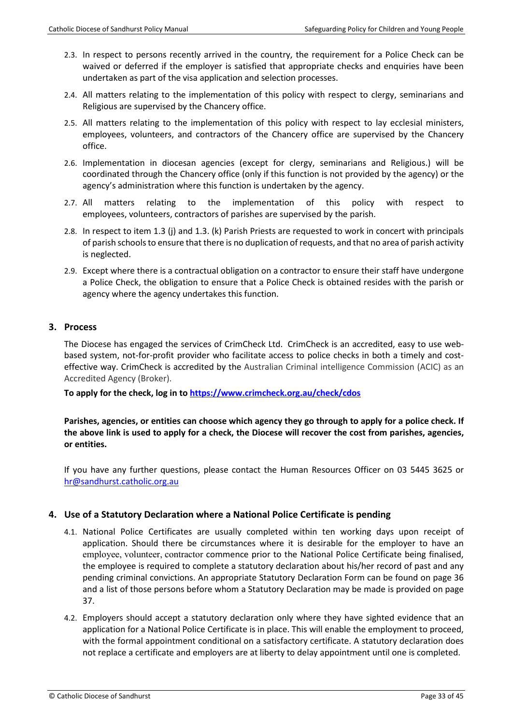- 2.3. In respect to persons recently arrived in the country, the requirement for a Police Check can be waived or deferred if the employer is satisfied that appropriate checks and enquiries have been undertaken as part of the visa application and selection processes.
- 2.4. All matters relating to the implementation of this policy with respect to clergy, seminarians and Religious are supervised by the Chancery office.
- 2.5. All matters relating to the implementation of this policy with respect to lay ecclesial ministers, employees, volunteers, and contractors of the Chancery office are supervised by the Chancery office.
- 2.6. Implementation in diocesan agencies (except for clergy, seminarians and Religious.) will be coordinated through the Chancery office (only if this function is not provided by the agency) or the agency's administration where this function is undertaken by the agency.
- 2.7. All matters relating to the implementation of this policy with respect to employees, volunteers, contractors of parishes are supervised by the parish.
- 2.8. In respect to item 1.3 (j) and 1.3. (k) Parish Priests are requested to work in concert with principals of parish schools to ensure that there is no duplication of requests, and that no area of parish activity is neglected.
- 2.9. Except where there is a contractual obligation on a contractor to ensure their staff have undergone a Police Check, the obligation to ensure that a Police Check is obtained resides with the parish or agency where the agency undertakes this function.

# **3. Process**

The Diocese has engaged the services of CrimCheck Ltd. CrimCheck is an accredited, easy to use webbased system, not-for-profit provider who facilitate access to police checks in both a timely and costeffective way. CrimCheck is accredited by the Australian Criminal intelligence Commission (ACIC) as an Accredited Agency (Broker).

**To apply for the check, log in t[o https://www.crimcheck.org.au/check/cdos](https://www.crimcheck.org.au/check/cdos)**

**Parishes, agencies, or entities can choose which agency they go through to apply for a police check. If the above link is used to apply for a check, the Diocese will recover the cost from parishes, agencies, or entities.**

If you have any further questions, please contact the Human Resources Officer on 03 5445 3625 or [hr@sandhurst.catholic.org.au](mailto:hr#@sandhurst.catholic.org.au)

# **4. Use of a Statutory Declaration where a National Police Certificate is pending**

- 4.1. National Police Certificates are usually completed within ten working days upon receipt of application. Should there be circumstances where it is desirable for the employer to have an employee, volunteer, contractor commence prior to the National Police Certificate being finalised, the employee is required to complete a statutory declaration about his/her record of past and any pending criminal convictions. An appropriate Statutory Declaration Form can be found on page 36 and a list of those persons before whom a Statutory Declaration may be made is provided on page 37.
- 4.2. Employers should accept a statutory declaration only where they have sighted evidence that an application for a National Police Certificate is in place. This will enable the employment to proceed, with the formal appointment conditional on a satisfactory certificate. A statutory declaration does not replace a certificate and employers are at liberty to delay appointment until one is completed.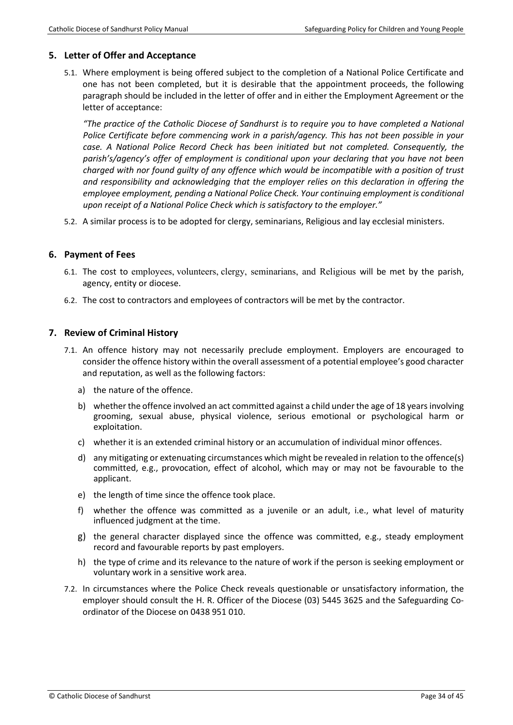#### **5. Letter of Offer and Acceptance**

5.1. Where employment is being offered subject to the completion of a National Police Certificate and one has not been completed, but it is desirable that the appointment proceeds, the following paragraph should be included in the letter of offer and in either the Employment Agreement or the letter of acceptance:

*"The practice of the Catholic Diocese of Sandhurst is to require you to have completed a National Police Certificate before commencing work in a parish/agency. This has not been possible in your case. A National Police Record Check has been initiated but not completed. Consequently, the parish's/agency's offer of employment is conditional upon your declaring that you have not been charged with nor found guilty of any offence which would be incompatible with a position of trust and responsibility and acknowledging that the employer relies on this declaration in offering the employee employment, pending a National Police Check. Your continuing employment is conditional upon receipt of a National Police Check which is satisfactory to the employer."*

5.2. A similar process is to be adopted for clergy, seminarians, Religious and lay ecclesial ministers.

#### **6. Payment of Fees**

- 6.1. The cost to employees, volunteers, clergy, seminarians, and Religious will be met by the parish, agency, entity or diocese.
- 6.2. The cost to contractors and employees of contractors will be met by the contractor.

#### **7. Review of Criminal History**

- 7.1. An offence history may not necessarily preclude employment. Employers are encouraged to consider the offence history within the overall assessment of a potential employee's good character and reputation, as well as the following factors:
	- a) the nature of the offence.
	- b) whether the offence involved an act committed against a child under the age of 18 years involving grooming, sexual abuse, physical violence, serious emotional or psychological harm or exploitation.
	- c) whether it is an extended criminal history or an accumulation of individual minor offences.
	- d) any mitigating or extenuating circumstances which might be revealed in relation to the offence(s) committed, e.g., provocation, effect of alcohol, which may or may not be favourable to the applicant.
	- e) the length of time since the offence took place.
	- f) whether the offence was committed as a juvenile or an adult, i.e., what level of maturity influenced judgment at the time.
	- g) the general character displayed since the offence was committed, e.g., steady employment record and favourable reports by past employers.
	- h) the type of crime and its relevance to the nature of work if the person is seeking employment or voluntary work in a sensitive work area.
- 7.2. In circumstances where the Police Check reveals questionable or unsatisfactory information, the employer should consult the H. R. Officer of the Diocese (03) 5445 3625 and the Safeguarding Coordinator of the Diocese on 0438 951 010.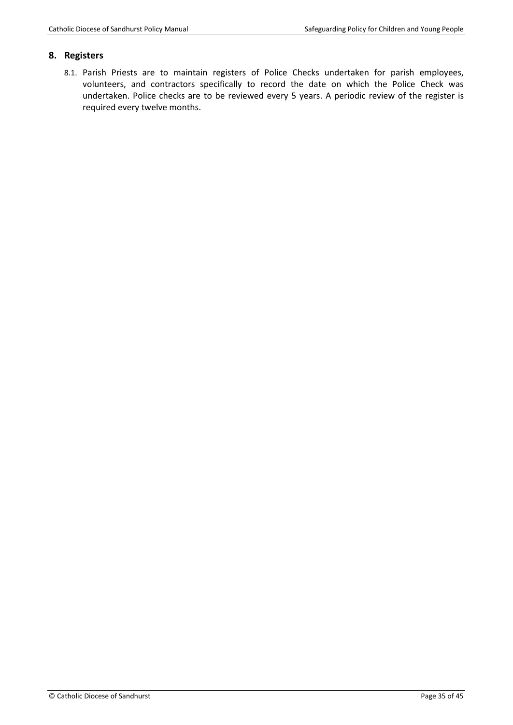#### **8. Registers**

8.1. Parish Priests are to maintain registers of Police Checks undertaken for parish employees, volunteers, and contractors specifically to record the date on which the Police Check was undertaken. Police checks are to be reviewed every 5 years. A periodic review of the register is required every twelve months.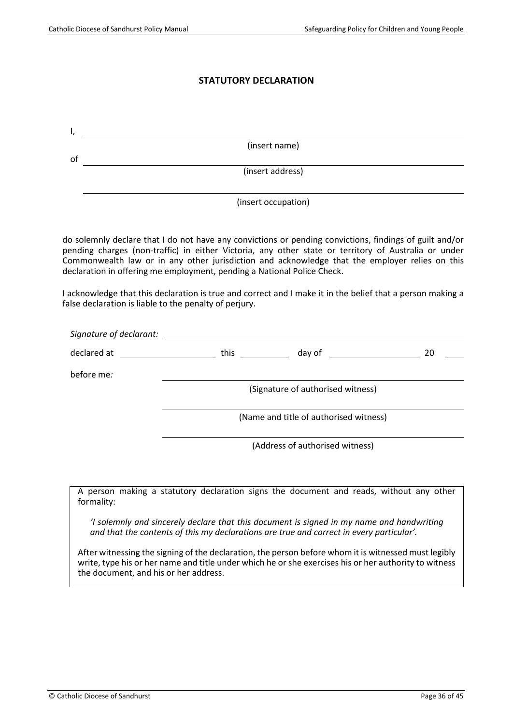# **STATUTORY DECLARATION**

**I**, <u>\_\_\_\_\_\_\_\_\_\_\_\_\_\_\_\_\_\_\_\_\_\_\_\_\_\_\_\_\_\_\_\_</u> (insert name) of (insert address)

(insert occupation)

do solemnly declare that I do not have any convictions or pending convictions, findings of guilt and/or pending charges (non-traffic) in either Victoria, any other state or territory of Australia or under Commonwealth law or in any other jurisdiction and acknowledge that the employer relies on this declaration in offering me employment, pending a National Police Check.

I acknowledge that this declaration is true and correct and I make it in the belief that a person making a false declaration is liable to the penalty of perjury.

| Signature of declarant:               |                                                                                                                                                                                                               |                                        |    |
|---------------------------------------|---------------------------------------------------------------------------------------------------------------------------------------------------------------------------------------------------------------|----------------------------------------|----|
| declared at                           | this                                                                                                                                                                                                          | day of                                 | 20 |
| before me:                            |                                                                                                                                                                                                               |                                        |    |
|                                       |                                                                                                                                                                                                               | (Signature of authorised witness)      |    |
|                                       |                                                                                                                                                                                                               | (Name and title of authorised witness) |    |
|                                       |                                                                                                                                                                                                               | (Address of authorised witness)        |    |
| formality:                            | A person making a statutory declaration signs the document and reads, without any other                                                                                                                       |                                        |    |
|                                       | 'I solemnly and sincerely declare that this document is signed in my name and handwriting<br>and that the contents of this my declarations are true and correct in every particular'.                         |                                        |    |
| the document, and his or her address. | After witnessing the signing of the declaration, the person before whom it is witnessed must legibly<br>write, type his or her name and title under which he or she exercises his or her authority to witness |                                        |    |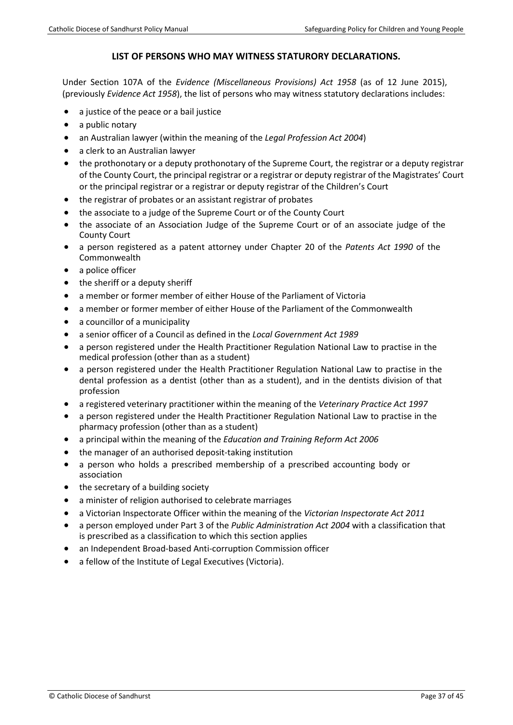#### **LIST OF PERSONS WHO MAY WITNESS STATURORY DECLARATIONS.**

Under Section 107A of the *Evidence (Miscellaneous Provisions) Act 1958* (as of 12 June 2015), (previously *Evidence Act 1958*), the list of persons who may witness statutory declarations includes:

- a justice of the peace or a bail justice
- a public notary
- an Australian lawyer (within the meaning of the *Legal Profession Act 2004*)
- a clerk to an Australian lawyer
- the prothonotary or a deputy prothonotary of the Supreme Court, the registrar or a deputy registrar of the County Court, the principal registrar or a registrar or deputy registrar of the Magistrates' Court or the principal registrar or a registrar or deputy registrar of the Children's Court
- the registrar of probates or an assistant registrar of probates
- the associate to a judge of the Supreme Court or of the County Court
- the associate of an Association Judge of the Supreme Court or of an associate judge of the County Court
- a person registered as a patent attorney under Chapter 20 of the *Patents Act 1990* of the Commonwealth
- a police officer
- the sheriff or a deputy sheriff
- a member or former member of either House of the Parliament of Victoria
- a member or former member of either House of the Parliament of the Commonwealth
- a councillor of a municipality
- a senior officer of a Council as defined in the *Local Government Act 1989*
- a person registered under the Health Practitioner Regulation National Law to practise in the medical profession (other than as a student)
- a person registered under the Health Practitioner Regulation National Law to practise in the dental profession as a dentist (other than as a student), and in the dentists division of that profession
- a registered veterinary practitioner within the meaning of the *Veterinary Practice Act 1997*
- a person registered under the Health Practitioner Regulation National Law to practise in the pharmacy profession (other than as a student)
- a principal within the meaning of the *Education and Training Reform Act 2006*
- the manager of an authorised deposit-taking institution
- a person who holds a prescribed membership of a prescribed accounting body or association
- the secretary of a building society
- a minister of religion authorised to celebrate marriages
- a Victorian Inspectorate Officer within the meaning of the *Victorian Inspectorate Act 2011*
- a person employed under Part 3 of the *Public Administration Act 2004* with a classification that is prescribed as a classification to which this section applies
- an Independent Broad-based Anti-corruption Commission officer
- a fellow of the Institute of Legal Executives (Victoria).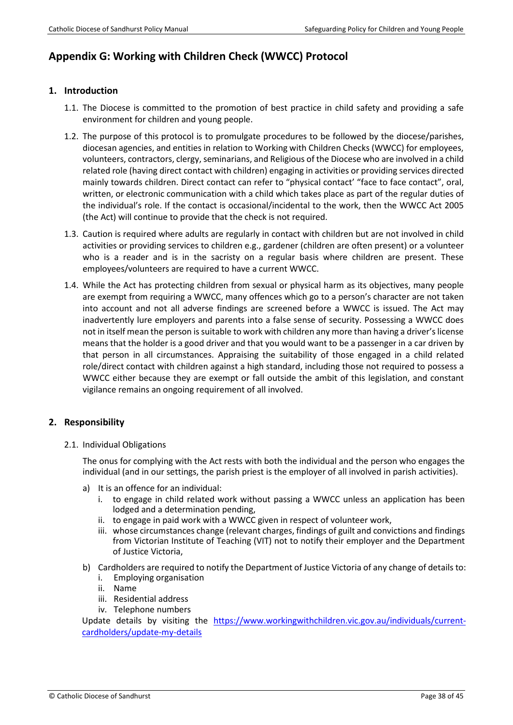# <span id="page-37-0"></span>**Appendix G: Working with Children Check (WWCC) Protocol**

#### **1. Introduction**

- 1.1. The Diocese is committed to the promotion of best practice in child safety and providing a safe environment for children and young people.
- 1.2. The purpose of this protocol is to promulgate procedures to be followed by the diocese/parishes, diocesan agencies, and entities in relation to Working with Children Checks (WWCC) for employees, volunteers, contractors, clergy, seminarians, and Religious of the Diocese who are involved in a child related role (having direct contact with children) engaging in activities or providing services directed mainly towards children. Direct contact can refer to "physical contact' "face to face contact", oral, written, or electronic communication with a child which takes place as part of the regular duties of the individual's role. If the contact is occasional/incidental to the work, then the WWCC Act 2005 (the Act) will continue to provide that the check is not required.
- 1.3. Caution is required where adults are regularly in contact with children but are not involved in child activities or providing services to children e.g., gardener (children are often present) or a volunteer who is a reader and is in the sacristy on a regular basis where children are present. These employees/volunteers are required to have a current WWCC.
- 1.4. While the Act has protecting children from sexual or physical harm as its objectives, many people are exempt from requiring a WWCC, many offences which go to a person's character are not taken into account and not all adverse findings are screened before a WWCC is issued. The Act may inadvertently lure employers and parents into a false sense of security. Possessing a WWCC does not in itself mean the person is suitable to work with children any more than having a driver'slicense means that the holder is a good driver and that you would want to be a passenger in a car driven by that person in all circumstances. Appraising the suitability of those engaged in a child related role/direct contact with children against a high standard, including those not required to possess a WWCC either because they are exempt or fall outside the ambit of this legislation, and constant vigilance remains an ongoing requirement of all involved.

# **2. Responsibility**

2.1. Individual Obligations

The onus for complying with the Act rests with both the individual and the person who engages the individual (and in our settings, the parish priest is the employer of all involved in parish activities).

- a) It is an offence for an individual:
	- i. to engage in child related work without passing a WWCC unless an application has been lodged and a determination pending,
	- ii. to engage in paid work with a WWCC given in respect of volunteer work,
	- iii. whose circumstances change (relevant charges, findings of guilt and convictions and findings from Victorian Institute of Teaching (VIT) not to notify their employer and the Department of Justice Victoria,
- b) Cardholders are required to notify the Department of Justice Victoria of any change of details to:
	- i. Employing organisation
	- ii. Name
	- iii. Residential address
	- iv. Telephone numbers

Update details by visiting the [https://www.workingwithchildren.vic.gov.au/individuals/current](https://www.workingwithchildren.vic.gov.au/individuals/current-cardholders/update-my-details)[cardholders/update-my-details](https://www.workingwithchildren.vic.gov.au/individuals/current-cardholders/update-my-details)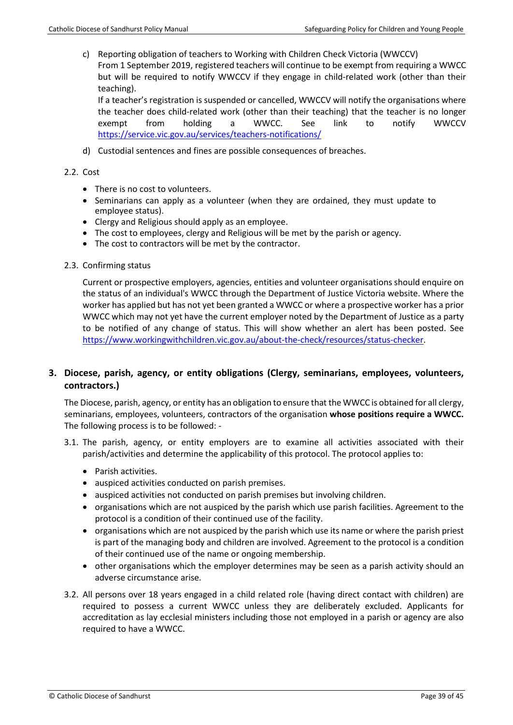c) Reporting obligation of teachers to Working with Children Check Victoria (WWCCV) From 1 September 2019, registered teachers will continue to be exempt from requiring a WWCC but will be required to notify WWCCV if they engage in child-related work (other than their teaching).

If a teacher's registration is suspended or cancelled, WWCCV will notify the organisations where the teacher does child-related work (other than their teaching) that the teacher is no longer exempt from holding a WWCC. See link to notify WWCCV <https://service.vic.gov.au/services/teachers-notifications/>

d) Custodial sentences and fines are possible consequences of breaches.

#### 2.2. Cost

- There is no cost to volunteers.
- Seminarians can apply as a volunteer (when they are ordained, they must update to employee status).
- Clergy and Religious should apply as an employee.
- The cost to employees, clergy and Religious will be met by the parish or agency.
- The cost to contractors will be met by the contractor.
- 2.3. Confirming status

Current or prospective employers, agencies, entities and volunteer organisations should [enquire](https://online.justice.vic.gov.au/wwc/wwc-online-check) [on](https://online.justice.vic.gov.au/wwc/wwc-online-check)  [the status o](https://online.justice.vic.gov.au/wwc/wwc-online-check)f an individual's WWCC through the Department of Justice Victoria website. Where the worker has applied but has not yet been granted a WWCC or where a prospective worker has a prior WWCC which may not yet have the current employer noted by the Department of Justice as a party to be notified of any change of status. This will show whether an alert has been posted. See [https://www.workingwithchildren.vic.gov.au/about-the-check/resources/status-checker.](https://www.workingwithchildren.vic.gov.au/about-the-check/resources/status-checker)

# **3. Diocese, parish, agency, or entity obligations (Clergy, seminarians, employees, volunteers, contractors.)**

The Diocese, parish, agency, or entity has an obligation to ensure that the WWCC is obtained for all clergy, seminarians, employees, volunteers, contractors of the organisation **whose positions require a WWCC.** The following process is to be followed: -

- 3.1. The parish, agency, or entity employers are to examine all activities associated with their parish/activities and determine the applicability of this protocol. The protocol applies to:
	- Parish activities.
	- auspiced activities conducted on parish premises.
	- auspiced activities not conducted on parish premises but involving children.
	- organisations which are not auspiced by the parish which use parish facilities. Agreement to the protocol is a condition of their continued use of the facility.
	- organisations which are not auspiced by the parish which use its name or where the parish priest is part of the managing body and children are involved. Agreement to the protocol is a condition of their continued use of the name or ongoing membership.
	- other organisations which the employer determines may be seen as a parish activity should an adverse circumstance arise.
- 3.2. All persons over 18 years engaged in a child related role (having direct contact with children) are required to possess a current WWCC unless they are deliberately excluded. Applicants for accreditation as lay ecclesial ministers including those not employed in a parish or agency are also required to have a WWCC.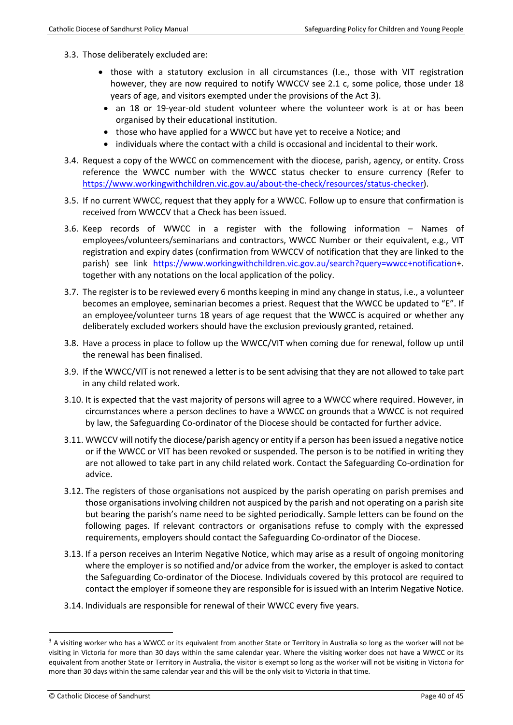- 3.3. Those deliberately excluded are:
	- those with a statutory exclusion in all circumstances (I.e., those with VIT registration however, they are now required to notify WWCCV see 2.1 c, some police, those under 18 years of age, and visitors exempted under the provisions of the Act [3\)](#page-39-0).
		- an 18 or 19-year-old student volunteer where the volunteer work is at or has been organised by their educational institution.
		- those who have applied for a WWCC but have yet to receive a Notice; and
		- individuals where the contact with a child is occasional and incidental to their work.
- 3.4. Request a copy of the WWCC on commencement with the diocese, parish, agency, or entity. Cross reference the WWCC number with the WWCC status checker to ensure currency (Refer to [https://www.workingwithchildren.vic.gov.au/about-the-check/resources/status-checker\)](https://www.workingwithchildren.vic.gov.au/about-the-check/resources/status-checker).
- 3.5. If no current WWCC, request that they apply for a WWCC. Follow up to ensure that confirmation is received from WWCCV that a Check has been issued.
- 3.6. Keep records of WWCC in a register with the following information Names of employees/volunteers/seminarians and contractors, WWCC Number or their equivalent, e.g., VIT registration and expiry dates (confirmation from WWCCV of notification that they are linked to the parish) see link [https://www.workingwithchildren.vic.gov.au/search?query=wwcc+notification+](https://www.workingwithchildren.vic.gov.au/search?query=wwcc+notification). together with any notations on the local application of the policy.
- 3.7. The register is to be reviewed every 6 months keeping in mind any change in status, i.e., a volunteer becomes an employee, seminarian becomes a priest. Request that the WWCC be updated to "E". If an employee/volunteer turns 18 years of age request that the WWCC is acquired or whether any deliberately excluded workers should have the exclusion previously granted, retained.
- 3.8. Have a process in place to follow up the WWCC/VIT when coming due for renewal, follow up until the renewal has been finalised.
- 3.9. If the WWCC/VIT is not renewed a letter is to be sent advising that they are not allowed to take part in any child related work.
- 3.10. It is expected that the vast majority of persons will agree to a WWCC where required. However, in circumstances where a person declines to have a WWCC on grounds that a WWCC is not required by law, the Safeguarding Co-ordinator of the Diocese should be contacted for further advice.
- 3.11. WWCCV will notify the diocese/parish agency or entity if a person has been issued a negative notice or if the WWCC or VIT has been revoked or suspended. The person is to be notified in writing they are not allowed to take part in any child related work. Contact the Safeguarding Co-ordination for advice.
- 3.12. The registers of those organisations not auspiced by the parish operating on parish premises and those organisations involving children not auspiced by the parish and not operating on a parish site but bearing the parish's name need to be sighted periodically. Sample letters can be found on the following pages. If relevant contractors or organisations refuse to comply with the expressed requirements, employers should contact the Safeguarding Co-ordinator of the Diocese.
- 3.13. If a person receives an Interim Negative Notice, which may arise as a result of ongoing monitoring where the employer is so notified and/or advice from the worker, the employer is asked to contact the Safeguarding Co-ordinator of the Diocese. Individuals covered by this protocol are required to contact the employer if someone they are responsible for is issued with an Interim Negative Notice.
- 3.14. Individuals are responsible for renewal of their WWCC every five years.

<span id="page-39-0"></span> $3$  A visiting worker who has a WWCC or its equivalent from another State or Territory in Australia so long as the worker will not be visiting in Victoria for more than 30 days within the same calendar year. Where the visiting worker does not have a WWCC or its equivalent from another State or Territory in Australia, the visitor is exempt so long as the worker will not be visiting in Victoria for more than 30 days within the same calendar year and this will be the only visit to Victoria in that time.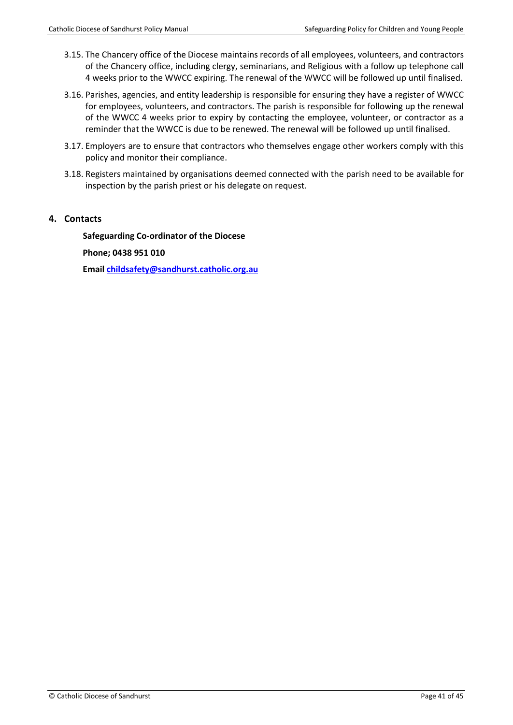- 3.15. The Chancery office of the Diocese maintains records of all employees, volunteers, and contractors of the Chancery office, including clergy, seminarians, and Religious with a follow up telephone call 4 weeks prior to the WWCC expiring. The renewal of the WWCC will be followed up until finalised.
- 3.16. Parishes, agencies, and entity leadership is responsible for ensuring they have a register of WWCC for employees, volunteers, and contractors. The parish is responsible for following up the renewal of the WWCC 4 weeks prior to expiry by contacting the employee, volunteer, or contractor as a reminder that the WWCC is due to be renewed. The renewal will be followed up until finalised.
- 3.17. Employers are to ensure that contractors who themselves engage other workers comply with this policy and monitor their compliance.
- 3.18. Registers maintained by organisations deemed connected with the parish need to be available for inspection by the parish priest or his delegate on request.

# **4. Contacts**

**Safeguarding Co-ordinator of the Diocese**

**Phone; 0438 951 010** 

**Email [childsafety@sandhurst.catholic.org.au](mailto:childsafety@sandhurst.catholic.org.au)**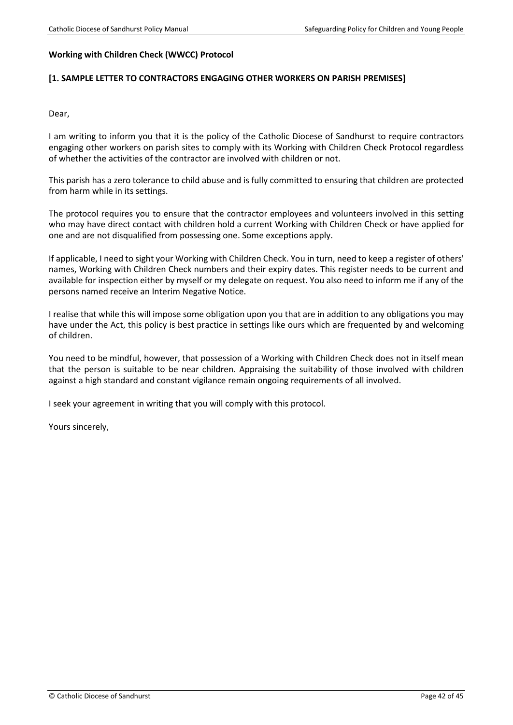#### **Working with Children Check (WWCC) Protocol**

#### **[1. SAMPLE LETTER TO CONTRACTORS ENGAGING OTHER WORKERS ON PARISH PREMISES]**

Dear,

I am writing to inform you that it is the policy of the Catholic Diocese of Sandhurst to require contractors engaging other workers on parish sites to comply with its Working with Children Check Protocol regardless of whether the activities of the contractor are involved with children or not.

This parish has a zero tolerance to child abuse and is fully committed to ensuring that children are protected from harm while in its settings.

The protocol requires you to ensure that the contractor employees and volunteers involved in this setting who may have direct contact with children hold a current Working with Children Check or have applied for one and are not disqualified from possessing one. Some exceptions apply.

If applicable, I need to sight your Working with Children Check. You in turn, need to keep a register of others' names, Working with Children Check numbers and their expiry dates. This register needs to be current and available for inspection either by myself or my delegate on request. You also need to inform me if any of the persons named receive an Interim Negative Notice.

I realise that while this will impose some obligation upon you that are in addition to any obligations you may have under the Act, this policy is best practice in settings like ours which are frequented by and welcoming of children.

You need to be mindful, however, that possession of a Working with Children Check does not in itself mean that the person is suitable to be near children. Appraising the suitability of those involved with children against a high standard and constant vigilance remain ongoing requirements of all involved.

I seek your agreement in writing that you will comply with this protocol.

Yours sincerely,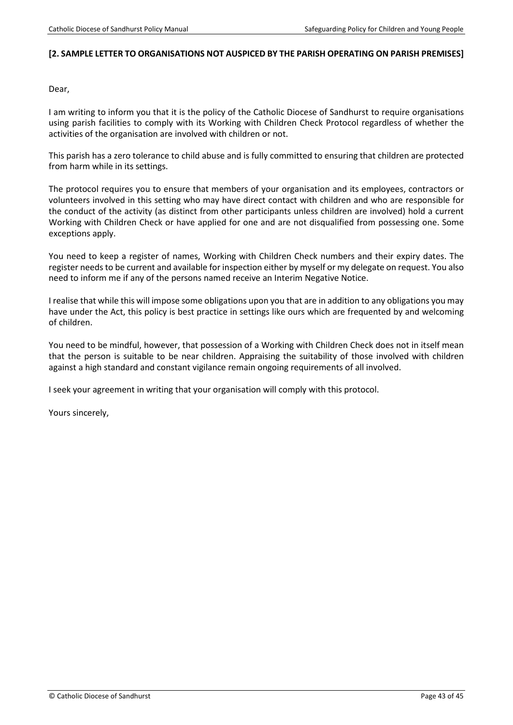#### **[2. SAMPLE LETTER TO ORGANISATIONS NOT AUSPICED BY THE PARISH OPERATING ON PARISH PREMISES]**

Dear,

I am writing to inform you that it is the policy of the Catholic Diocese of Sandhurst to require organisations using parish facilities to comply with its Working with Children Check Protocol regardless of whether the activities of the organisation are involved with children or not.

This parish has a zero tolerance to child abuse and is fully committed to ensuring that children are protected from harm while in its settings.

The protocol requires you to ensure that members of your organisation and its employees, contractors or volunteers involved in this setting who may have direct contact with children and who are responsible for the conduct of the activity (as distinct from other participants unless children are involved) hold a current Working with Children Check or have applied for one and are not disqualified from possessing one. Some exceptions apply.

You need to keep a register of names, Working with Children Check numbers and their expiry dates. The register needs to be current and available for inspection either by myself or my delegate on request. You also need to inform me if any of the persons named receive an Interim Negative Notice.

I realise that while this will impose some obligations upon you that are in addition to any obligations you may have under the Act, this policy is best practice in settings like ours which are frequented by and welcoming of children.

You need to be mindful, however, that possession of a Working with Children Check does not in itself mean that the person is suitable to be near children. Appraising the suitability of those involved with children against a high standard and constant vigilance remain ongoing requirements of all involved.

I seek your agreement in writing that your organisation will comply with this protocol.

Yours sincerely,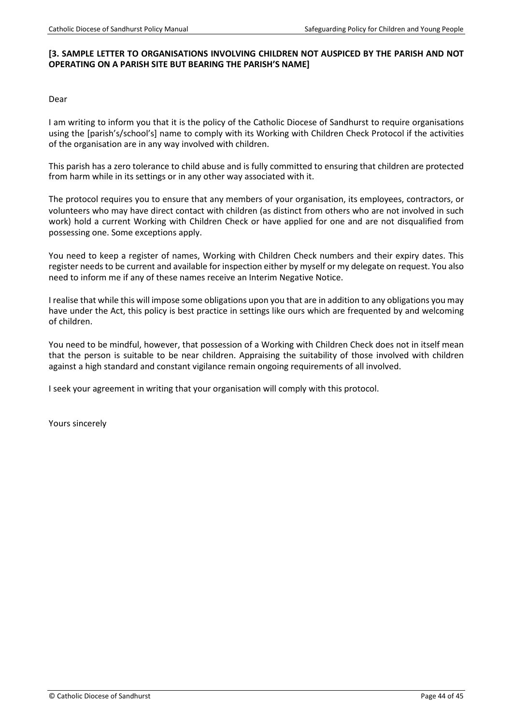#### **[3. SAMPLE LETTER TO ORGANISATIONS INVOLVING CHILDREN NOT AUSPICED BY THE PARISH AND NOT OPERATING ON A PARISH SITE BUT BEARING THE PARISH'S NAME]**

Dear

I am writing to inform you that it is the policy of the Catholic Diocese of Sandhurst to require organisations using the [parish's/school's] name to comply with its Working with Children Check Protocol if the activities of the organisation are in any way involved with children.

This parish has a zero tolerance to child abuse and is fully committed to ensuring that children are protected from harm while in its settings or in any other way associated with it.

The protocol requires you to ensure that any members of your organisation, its employees, contractors, or volunteers who may have direct contact with children (as distinct from others who are not involved in such work) hold a current Working with Children Check or have applied for one and are not disqualified from possessing one. Some exceptions apply.

You need to keep a register of names, Working with Children Check numbers and their expiry dates. This register needs to be current and available for inspection either by myself or my delegate on request. You also need to inform me if any of these names receive an Interim Negative Notice.

I realise that while this will impose some obligations upon you that are in addition to any obligations you may have under the Act, this policy is best practice in settings like ours which are frequented by and welcoming of children.

You need to be mindful, however, that possession of a Working with Children Check does not in itself mean that the person is suitable to be near children. Appraising the suitability of those involved with children against a high standard and constant vigilance remain ongoing requirements of all involved.

I seek your agreement in writing that your organisation will comply with this protocol.

Yours sincerely